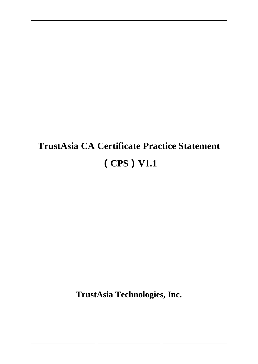# **TrustAsia CA Certificate Practice Statement (CPS)V1.1**

**TrustAsia Technologies, Inc.**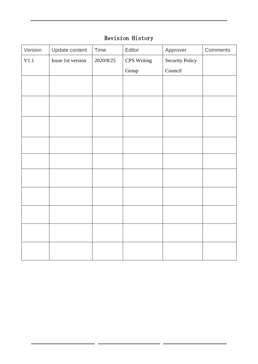### Revision History

| Version | Update content    | Time      | Editor      | Approver               | Comments |
|---------|-------------------|-----------|-------------|------------------------|----------|
| V1.1    | Issue 1st version | 2020/8/25 | CPS Writing | <b>Security Policy</b> |          |
|         |                   |           | Group       | Council                |          |
|         |                   |           |             |                        |          |
|         |                   |           |             |                        |          |
|         |                   |           |             |                        |          |
|         |                   |           |             |                        |          |
|         |                   |           |             |                        |          |
|         |                   |           |             |                        |          |
|         |                   |           |             |                        |          |
|         |                   |           |             |                        |          |
|         |                   |           |             |                        |          |
|         |                   |           |             |                        |          |
|         |                   |           |             |                        |          |
|         |                   |           |             |                        |          |
|         |                   |           |             |                        |          |
|         |                   |           |             |                        |          |
|         |                   |           |             |                        |          |
|         |                   |           |             |                        |          |
|         |                   |           |             |                        |          |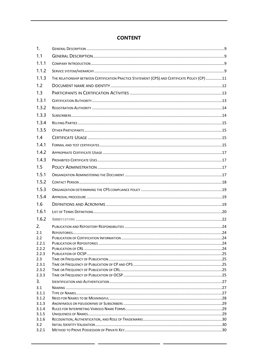### **CONTENT**

| 1.             |                                                                                                |  |
|----------------|------------------------------------------------------------------------------------------------|--|
| 1.1            |                                                                                                |  |
| 1.1.1          |                                                                                                |  |
| 1.1.2          |                                                                                                |  |
| 1.1.3          | THE RELATIONSHIP BETWEEN CERTIFICATION PRACTICE STATEMENT (CPS) AND CERTIFICATE POLICY (CP) 11 |  |
| 1.2            |                                                                                                |  |
| 1.3            |                                                                                                |  |
| 1.3.1          |                                                                                                |  |
| 1.3.2          |                                                                                                |  |
| 1.3.3          |                                                                                                |  |
| 1.3.4          |                                                                                                |  |
| 1.3.5          |                                                                                                |  |
| 1.4            |                                                                                                |  |
| 1.4.1          |                                                                                                |  |
| 1.4.2          |                                                                                                |  |
| 1.4.3          |                                                                                                |  |
| 1.5            |                                                                                                |  |
| 1.5.1          |                                                                                                |  |
| 1.5.2          |                                                                                                |  |
| 1.5.3          |                                                                                                |  |
| 1.5.4          |                                                                                                |  |
| 1.6            |                                                                                                |  |
| 1.6.1          |                                                                                                |  |
| 1.6.2          |                                                                                                |  |
| 2.             |                                                                                                |  |
| 2.1            |                                                                                                |  |
| 2.2<br>2.2.1   |                                                                                                |  |
| 2.2.2          |                                                                                                |  |
| 2.2.3          |                                                                                                |  |
| 2.3            |                                                                                                |  |
| 2.3.1          |                                                                                                |  |
| 2.3.2          |                                                                                                |  |
| 2.3.3          |                                                                                                |  |
| 3.             |                                                                                                |  |
| 3.1            |                                                                                                |  |
| 3.1.1          |                                                                                                |  |
| 3.1.2          |                                                                                                |  |
| 3.1.3          |                                                                                                |  |
| 3.1.4<br>3.1.5 |                                                                                                |  |
| 3.1.6          |                                                                                                |  |
| $3.2^{\circ}$  |                                                                                                |  |
| 3.2.1          |                                                                                                |  |
|                |                                                                                                |  |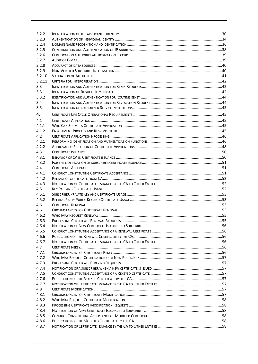| 3.2.2          |  |
|----------------|--|
| 3.2.3          |  |
| 3.2.4          |  |
| 3.2.5          |  |
| 3.2.6          |  |
| 3.2.7          |  |
| 3.2.8          |  |
| 3.2.9          |  |
| 3.2.10         |  |
| 3.2.11         |  |
| 3.3            |  |
| 3.3.1          |  |
| 3.3.2          |  |
| 3.4            |  |
| 3.5            |  |
| 4.             |  |
| 4.1            |  |
| 4.1.1          |  |
|                |  |
| 4.1.2          |  |
| 4.2            |  |
| 4.2.1          |  |
| 4.2.2          |  |
| 4.3            |  |
| 4.3.1          |  |
| 4.3.2          |  |
| 4.4            |  |
| 4.4.1<br>4.4.2 |  |
|                |  |
|                |  |
| 4.4.3          |  |
| 4.5            |  |
| 4.5.1          |  |
| 4.5.2          |  |
| 4.6            |  |
| 4.6.1          |  |
| 4.6.2          |  |
| 4.6.3          |  |
| 4.6.4          |  |
| 4.6.5          |  |
| 4.6.6          |  |
| 4.6.7          |  |
| 4.7            |  |
| 4.7.1          |  |
| 4.7.2          |  |
| 4.7.3          |  |
| 4.7.4          |  |
| 4.7.5          |  |
| 4.7.6          |  |
| 4.7.7          |  |
| 4.8            |  |
| 4.8.1          |  |
| 4.8.2          |  |
| 4.8.3          |  |
| 4.8.4          |  |
| 4.8.5          |  |
| 4.8.6<br>4.8.7 |  |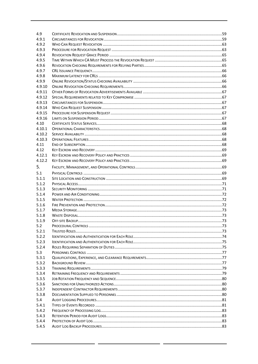| 4.9            |  |
|----------------|--|
| 4.9.1          |  |
| 4.9.2          |  |
| 4.9.3          |  |
| 4.9.4          |  |
| 4.9.5          |  |
| 4.9.6          |  |
| 4.9.7          |  |
| 4.9.8          |  |
| 4.9.9          |  |
| 4.9.10         |  |
| 4.9.11         |  |
| 4.9.12         |  |
| 4.9.13         |  |
| 4.9.14         |  |
| 4.9.15         |  |
| 4.9.16         |  |
| 4.10           |  |
| 4.10.1         |  |
| 4.10.2         |  |
| 4.10.3         |  |
| 4.11           |  |
| 4.12           |  |
| 4.12.1         |  |
| 4.12.2         |  |
| 5.             |  |
| 5.1            |  |
| 5.1.1          |  |
| 5.1.2          |  |
| 5.1.3          |  |
| 5.1.4          |  |
| 5.1.5          |  |
| 5.1.6          |  |
| 5.1.7          |  |
| 5.1.8          |  |
| 5.1.9          |  |
| 5.2            |  |
| 5.2.1          |  |
| 5.2.2          |  |
| 5.2.3          |  |
| 5.2.4          |  |
| 5.3            |  |
| 5.3.1          |  |
| 5.3.2          |  |
| 5.3.3          |  |
| 5.3.4          |  |
| 5.3.5          |  |
| 5.3.6          |  |
| 5.3.7          |  |
| 5.3.8          |  |
| 5.4            |  |
| 5.4.1          |  |
| 5.4.2          |  |
|                |  |
|                |  |
| 5.4.3          |  |
| 5.4.4<br>5.4.5 |  |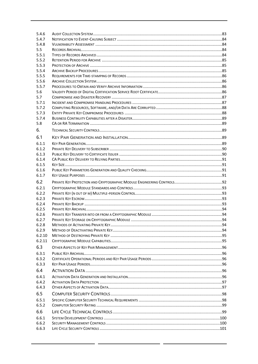| 5.4.6          |  |
|----------------|--|
| 5.4.7          |  |
| 5.4.8          |  |
| 5.5            |  |
| 5.5.1          |  |
| 5.5.2          |  |
| 5.5.3          |  |
| 5.5.4          |  |
| 5.5.5          |  |
| 5.5.6          |  |
| 5.5.7          |  |
| 5.6            |  |
| 5.7            |  |
| 5.7.1<br>5.7.2 |  |
| 5.7.3          |  |
| 5.7.4          |  |
| 5.8            |  |
|                |  |
| 6.             |  |
| 6.1            |  |
| 6.1.1          |  |
| 6.1.2          |  |
| 6.1.3          |  |
| 6.1.4          |  |
| 6.1.5          |  |
| 6.1.6          |  |
| 6.1.7          |  |
| 6.2            |  |
| 6.2.1          |  |
| 6.2.2          |  |
| 6.2.3          |  |
| 6.2.4          |  |
| 6.2.5          |  |
| 6.2.6          |  |
| 6.2.7          |  |
| 6.2.8          |  |
| 6.2.9          |  |
| 6.2.10         |  |
| 6.2.11         |  |
| 6.3            |  |
| 6.3.1          |  |
| 6.3.2          |  |
| 6.3.3          |  |
| 6.4            |  |
| 6.4.1          |  |
| 6.4.2          |  |
| 6.4.3          |  |
| 6.5            |  |
|                |  |
| 6.5.1          |  |
| 6.5.2          |  |
| 6.6            |  |
| 6.6.1          |  |
| 6.6.2          |  |
| 6.6.3          |  |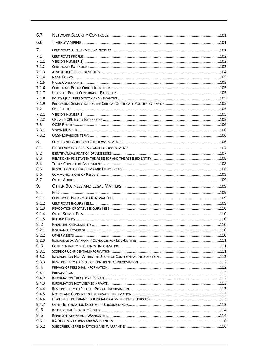| 6.7            |  |
|----------------|--|
| 6.8            |  |
| 7.             |  |
| 7.1            |  |
| 7.1.1          |  |
| 7.1.2          |  |
| 7.1.3          |  |
| 7.1.4          |  |
| 7.1.5          |  |
| 7.1.6          |  |
| 7.1.7          |  |
| 7.1.8          |  |
| 7.1.9          |  |
| 7.2            |  |
| 7.2.1          |  |
| 7.2.2          |  |
| 7.3            |  |
| 7.3.1          |  |
| 7.3.2          |  |
| 8.             |  |
| 8.1            |  |
| 8.2            |  |
| 8.3            |  |
| 8.4            |  |
| 8.5            |  |
| 8.6            |  |
| 8.7            |  |
|                |  |
| 9.             |  |
| 9.1            |  |
| 9.1.1          |  |
| 9.1.2          |  |
| 9.1.3          |  |
| 9.1.4          |  |
| 9.1.5          |  |
| 9.2            |  |
| 9.2.1          |  |
| 9.2.2          |  |
| 9.2.3          |  |
|                |  |
| 9.3            |  |
| 9.3.1          |  |
| 9.3.2          |  |
| 9.3.3          |  |
| 9.4            |  |
| 9.4.1          |  |
| 9.4.2          |  |
| 9.4.3          |  |
| 9.4.4          |  |
| 9.4.5          |  |
| 9.4.6          |  |
| 9.4.7          |  |
| 9.5            |  |
| 9.6            |  |
| 9.6.1<br>9.6.2 |  |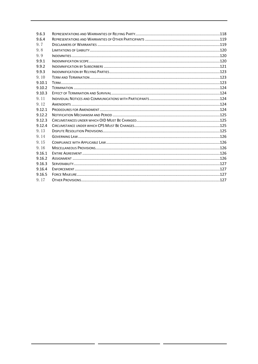| 9.6.3  |  |
|--------|--|
| 9.6.4  |  |
| 9.7    |  |
| 9.8    |  |
| 9.9    |  |
| 9.9.1  |  |
| 9.9.2  |  |
| 9.9.3  |  |
| 9.10   |  |
| 9.10.1 |  |
| 9.10.2 |  |
| 9.10.3 |  |
| 9.11   |  |
| 9.12   |  |
| 9.12.1 |  |
| 9.12.2 |  |
| 9.12.3 |  |
| 9.12.4 |  |
| 9.13   |  |
| 9.14   |  |
| 9.15   |  |
| 9.16   |  |
| 9.16.1 |  |
| 9.16.2 |  |
| 9.16.3 |  |
| 9.16.4 |  |
| 9.16.5 |  |
| 9.17   |  |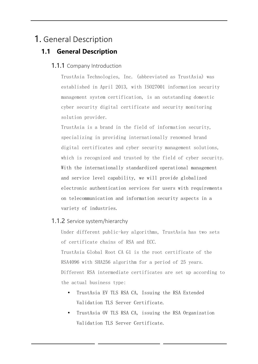# <span id="page-8-1"></span><span id="page-8-0"></span>1. General Description

### <span id="page-8-2"></span>**1.1 General Description**

### 1.1.1 Company Introduction

TrustAsia Technologies, Inc. (abbreviated as TrustAsia) was established in April 2013, with ISO27001 information security management system certification, is an outstanding domestic cyber security digital certificate and security monitoring solution provider.

TrustAsia is a brand in the field of information security, specializing in providing internationally renowned brand digital certificates and cyber security management solutions, which is recognized and trusted by the field of cyber security. With the internationally standardized operational management and service level capability, we will provide globalized electronic authentication services for users with requirements on telecommunication and information security aspects in a variety of industries.

### <span id="page-8-3"></span>1.1.2 Service system/hierarchy

Under different public-key algorithms, TrustAsia has two sets of certificate chains of RSA and ECC. TrustAsia Global Root CA G1 is the root certificate of the RSA4096 with SHA256 algorithm for a period of 25 years. Different RSA intermediate certificates are set up according to the actual business type:

- TrustAsia EV TLS RSA CA, Issuing the RSA Extended Validation TLS Server Certificate.
- TrustAsia OV TLS RSA CA, issuing the RSA Organization Validation TLS Server Certificate.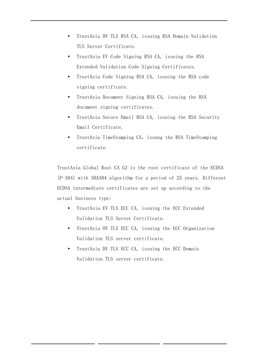- TrustAsia DV TLS RSA CA, issuing RSA Domain Validation TLS Server Certificate.
- TrustAsia EV Code Signing RSA CA, issuing the RSA Extended Validation Code Signing Certificates.
- TrustAsia Code Signing RSA CA, issuing the RSA code signing certificate.
- TrustAsia Document Signing RSA CA, issuing the RSA document signing certificates.
- TrustAsia Secure Email RSA CA, issuing the RSA Security Email Certificate.
- TrustAsia TimeStamping CA, issung the RSA TimeStamping certificate.

TrustAsia Global Root CA G2 is the root certificate of the ECDSA (P-384) with SHA384 algorithm for a period of 25 years. Different ECDSA intermediate certificates are set up according to the actual business type:

- TrustAsia EV TLS ECC CA, issuing the ECC Extended Validation TLS Server Certificate.
- TrustAsia OV TLS ECC CA, issuing the ECC Organization Validation TLS server certificate.
- TrustAsia DV TLS ECC CA, issuing the ECC Domain Validation TLS server certificate.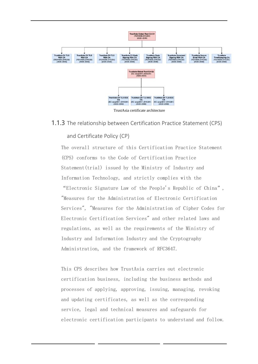

TrustAsia certificate architecture

### <span id="page-10-0"></span>1.1.3 The relationship between Certification Practice Statement (CPS)

### and Certificate Policy (CP)

The overall structure of this Certification Practice Statement (CPS) conforms to the Code of Certification Practice Statement(trial) issued by the Ministry of Industry and Information Technology, and strictly complies with the

"Electronic Signature Law of the People's Republic of China", "Measures for the Administration of Electronic Certification Services", "Measures for the Administration of Cipher Codes for Electronic Certification Services" and other related laws and regulations, as well as the requirements of the Ministry of Industry and Information Industry and the Cryptography Administration, and the framework of RFC3647.

This CPS describes how TrustAsia carries out electronic certification business, including the business methods and processes of applying, approving, issuing, managing, revoking and updating certificates, as well as the corresponding service, legal and technical measures and safeguards for electronic certification participants to understand and follow.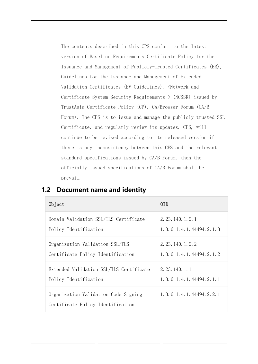The contents described in this CPS conform to the latest version of Baseline Requirements Certificate Policy for the Issuance and Management of Publicly-Trusted Certificates (BR), Guidelines for the Issuance and Management of Extended Validation Certificates (EV Guidelines), <Network and Certificate System Security Requirements  $>$  (NCSSR) issued by TrustAsia Certificate Policy (CP), CA/Browser Forum (CA/B Forum). The CPS is to issue and manage the publicly trusted SSL Certificate, and regularly review its updates. CPS, will continue to be revised according to its released version if there is any inconsistency between this CPS and the relevant standard specifications issued by CA/B Forum, then the officially issued specifications of CA/B Forum shall be prevail.

| Object                                                                    | 0TD.                             |
|---------------------------------------------------------------------------|----------------------------------|
| Domain Validation SSL/TLS Certificate                                     | 2. 23. 140. 1. 2. 1              |
| Policy Identification                                                     | 1, 3, 6, 1, 4, 1, 44494, 2, 1, 3 |
| Organization Validation SSL/TLS                                           | 2. 23. 140. 1. 2. 2              |
| Certificate Policy Identification                                         | 1, 3, 6, 1, 4, 1, 44494, 2, 1, 2 |
| Extended Validation SSL/TLS Certificate                                   | 2. 23. 140. 1. 1                 |
| Policy Identification                                                     | 1, 3, 6, 1, 4, 1, 44494, 2, 1, 1 |
| Organization Validation Code Signing<br>Certificate Policy Identification | 1, 3, 6, 1, 4, 1, 44494, 2, 2, 1 |

### <span id="page-11-0"></span>**1.2 Document name and identity**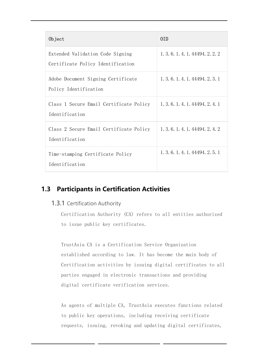| Object                                                                | 0ID                              |
|-----------------------------------------------------------------------|----------------------------------|
| Extended Validation Code Signing<br>Certificate Policy Identification | 1, 3, 6, 1, 4, 1, 44494, 2, 2, 2 |
| Adobe Document Signing Certificate<br>Policy Identification           | 1, 3, 6, 1, 4, 1, 44494, 2, 3, 1 |
| Class 1 Secure Email Certificate Policy<br>Identification             | 1. 3. 6. 1. 4. 1. 44494. 2. 4. 1 |
| Class 2 Secure Email Certificate Policy<br>Identification             | 1. 3. 6. 1. 4. 1. 44494. 2. 4. 2 |
| Time-stamping Certificate Policy<br>Identification                    | 1, 3, 6, 1, 4, 1, 44494, 2, 5, 1 |

### <span id="page-12-1"></span><span id="page-12-0"></span>**1.3 Participants in Certification Activities**

### 1.3.1 Certification Authority

Certification Authority (CA) refers to all entities authorized to issue public key certificates.

TrustAsia CA is a Certification Service Organization established according to law. It has become the main body of Certification activities by issuing digital certificates to all parties engaged in electronic transactions and providing digital certificate verification services.

As agents of multiple CA, TrustAsia executes functions related to public key operations, including receiving certificate requests, issuing, revoking and updating digital certificates,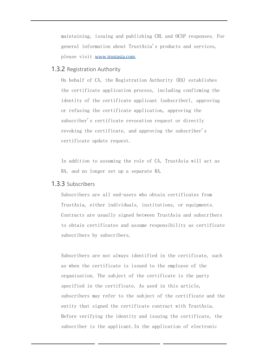maintaining, issuing and publishing CRL and OCSP responses. For general information about TrustAsia's products and services, please visit www.trustasia.com.

### <span id="page-13-0"></span>1.3.2 Registration Authority

On behalf of CA, the Registration Authority (RA) establishes the certificate application process, including confirming the identity of the certificate applicant (subscriber), approving or refusing the certificate application, approving the subscriber's certificate revocation request or directly revoking the certificate, and approving the subscriber's certificate update request.

In addition to assuming the role of CA, TrustAsia will act as RA, and no longer set up a separate RA.

### <span id="page-13-1"></span>1.3.3 Subscribers

Subscribers are all end-users who obtain certificates from TrustAsia, either individuals, institutions, or equipments. Contracts are usually signed between TrustAsia and subscribers to obtain certificates and assume responsibility as certificate subscribers by subscribers.

Subscribers are not always identified in the certificate, such as when the certificate is issued to the employee of the organization. The subject of the certificate is the party specified in the certificate. As used in this article, subscribers may refer to the subject of the certificate and the entity that signed the certificate contract with TrustAsia. Before verifying the identity and issuing the certificate, the subscriber is the applicant.In the application of electronic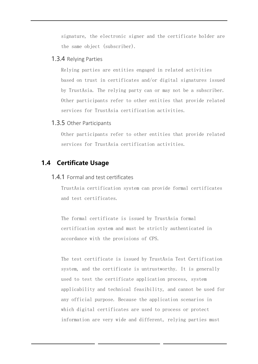signature, the electronic signer and the certificate holder are the same object (subscriber).

### <span id="page-14-0"></span>1.3.4 Relying Parties

Relying parties are entities engaged in related activities based on trust in certificates and/or digital signatures issued by TrustAsia. The relying party can or may not be a subscriber. Other participants refer to other entities that provide related services for TrustAsia certification activities.

### <span id="page-14-1"></span>1.3.5 Other Participants

Other participants refer to other entities that provide related services for TrustAsia certification activities.

### <span id="page-14-3"></span><span id="page-14-2"></span>**1.4 Certificate Usage**

### 1.4.1 Formal and test certificates

TrustAsia certification system can provide formal certificates and test certificates.

The formal certificate is issued by TrustAsia formal certification system and must be strictly authenticated in accordance with the provisions of CPS.

The test certificate is issued by TrustAsia Test Certification system, and the certificate is untrustworthy. It is generally used to test the certificate application process, system applicability and technical feasibility, and cannot be used for any official purpose. Because the application scenarios in which digital certificates are used to process or protect information are very wide and different, relying parties must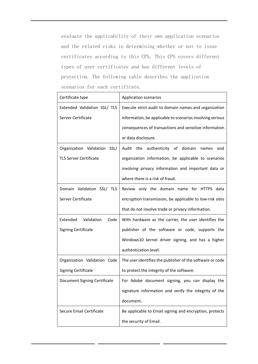evaluate the applicability of their own application scenarios and the related risks in determining whether or not to issue certificates according to this CPS. This CPS covers different types of user certificates and has different levels of protection. The following table describes the application scenarios for each certificate.

| Certificate type               | <b>Application scenarios</b>                              |
|--------------------------------|-----------------------------------------------------------|
| Extended Validation SSL/ TLS   | Execute strict audit to domain names and organization     |
| Server Certificate             | information, be applicable to scenarios involving serious |
|                                | consequences of transactions and sensitive information    |
|                                | or data disclosure.                                       |
| Organization Validation SSL/   | Audit<br>the<br>authenticity of domain<br>names<br>and    |
| <b>TLS Server Certificate</b>  | organization information, be applicable to scenarios      |
|                                | involving privacy information and important data or       |
|                                | where there is a risk of fraud.                           |
| Domain Validation SSL/ TLS     | Review only the domain name for HTTPS data                |
| Server Certificate             | encryption transmission, be applicable to low-risk sites  |
|                                | that do not involve trade or privacy information.         |
| Extended<br>Validation<br>Code | With hardware as the carrier, the user identifies the     |
| <b>Signing Certificate</b>     | publisher of the software or code, supports the           |
|                                | Windows10 kernel driver signing, and has a higher         |
|                                | authentication level.                                     |
| Organization Validation Code   | The user identifies the publisher of the software or code |
| <b>Signing Certificate</b>     | to protect the integrity of the software.                 |
| Document Signing Certificate   | For Adobe document signing, you can display the           |
|                                | signature information and verify the integrity of the     |
|                                | document.                                                 |
| Secure Email Certificate       | Be applicable to Email signing and encryption, protects   |
|                                | the security of Email.                                    |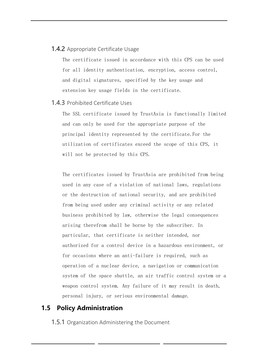### <span id="page-16-0"></span>**1.4.2** Appropriate Certificate Usage

The certificate issued in accordance with this CPS can be used for all identity authentication, encryption, access control, and digital signatures, specified by the key usage and extension key usage fields in the certificate.

#### <span id="page-16-1"></span>1.4.3 Prohibited Certificate Uses

The SSL certificate issued by TrustAsia is functionally limited and can only be used for the appropriate purpose of the principal identity represented by the certificate.For the utilization of certificates exceed the scope of this CPS, it will not be protected by this CPS.

The certificates issued by TrustAsia are prohibited from being used in any case of a violation of national laws, regulations or the destruction of national security, and are prohibited from being used under any criminal activity or any related business prohibited by law, otherwise the legal consequences arising therefrom shall be borne by the subscriber. In particular, that certificate is neither intended, nor authorized for a control device in a hazardous environment, or for occasions where an anti-failure is required, such as operation of a nuclear device, a navigation or communication system of the space shuttle, an air traffic control system or a weapon control system. Any failure of it may result in death, personal injury, or serious environmental damage.

### <span id="page-16-3"></span><span id="page-16-2"></span>**1.5 Policy Administration**

**1.5.1** Organization Administering the Document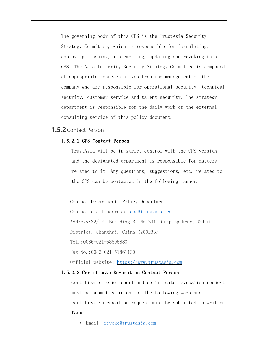The governing body of this CPS is the TrustAsia Security Strategy Committee, which is responsible for formulating, approving, issuing, implementing, updating and revoking this CPS. The Asia Integrity Security Strategy Committee is composed of appropriate representatives from the management of the company who are responsible for operational security, technical security, customer service and talent security. The strategy department is responsible for the daily work of the external consulting service of this policy document.

### <span id="page-17-0"></span>**1.5.2**Contact Person

#### 1.5.2.1 CPS Contact Person

TrustAsia will be in strict control with the CPS version and the designated department is responsible for matters related to it. Any questions, suggestions, etc. related to the CPS can be contacted in the following manner.

Contact Department: Policy Department

Contact email address: [cps@trustasia.com](mailto:cps@trustasia.com) Address:32/ F, Building B, No.391, Guiping Road, Xuhui District, Shanghai, China (200233) Tel.:0086-021-58895880 Fax No.:0086-021-51861130 Official website: [https://www.trustasia.com](https://www.trustasia.com/)

#### 1.5.2.2 Certificate Revocation Contact Person

Certificate issue report and certificate revocation request must be submitted in one of the following ways and certificate revocation request must be submitted in written form:

■ Email: [revoke@trustasia.com](mailto:revoke@trustasia.com)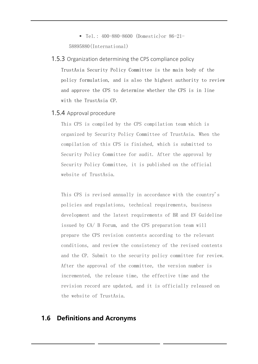▪ Tel.: 400-880-8600 (Domestic)or 86-21- 58895880(International)

### <span id="page-18-0"></span>1.5.3 Organization determining the CPS compliance policy

TrustAsia Security Policy Committee is the main body of the policy formulation, and is also the highest authority to review and approve the CPS to determine whether the CPS is in line with the TrustAsia CP.

### <span id="page-18-1"></span>1.5.4 Approval procedure

This CPS is compiled by the CPS compilation team which is organized by Security Policy Committee of TrustAsia. When the compilation of this CPS is finished, which is submitted to Security Policy Committee for audit. After the approval by Security Policy Committee, it is published on the official website of TrustAsia.

This CPS is revised annually in accordance with the country's policies and regulations, technical requirements, business development and the latest requirements of BR and EV Guideline issued by CA/ B Forum, and the CPS preparation team will prepare the CPS revision contents according to the relevant conditions, and review the consistency of the revised contents and the CP. Submit to the security policy committee for review. After the approval of the committee, the version number is incremented, the release time, the effective time and the revision record are updated, and it is officially released on the website of TrustAsia.

### <span id="page-18-2"></span>**1.6 Definitions and Acronyms**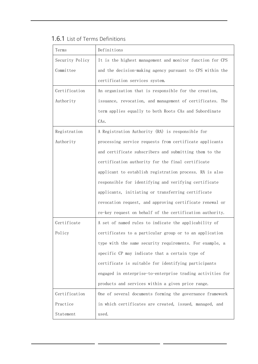<span id="page-19-0"></span>

|  |  | 1.6.1 List of Terms Definitions |
|--|--|---------------------------------|
|  |  |                                 |

| Terms           | Definitions                                                |
|-----------------|------------------------------------------------------------|
| Security Policy | It is the highest management and monitor function for CPS  |
| Committee       | and the decision-making agency pursuant to CPS within the  |
|                 | certification services system.                             |
| Certification   | An organization that is responsible for the creation,      |
| Authority       | issuance, revocation, and management of certificates. The  |
|                 | term applies equally to both Roots CAs and Subordinate     |
|                 | CAs.                                                       |
| Registration    | A Registration Authority (RA) is responsible for           |
| Authority       | processing service requests from certificate applicants    |
|                 | and certificate subscribers and submitting them to the     |
|                 | certification authority for the final certificate          |
|                 | applicant to establish registration process. RA is also    |
|                 | responsible for identifying and verifying certificate      |
|                 | applicants, initiating or transferring certificate         |
|                 | revocation request, and approving certificate renewal or   |
|                 | re-key request on behalf of the certification authority.   |
| Certificate     | A set of named rules to indicate the applicability of      |
| Policy          | certificates to a particular group or to an application    |
|                 | type with the same security requirements. For example, a   |
|                 | specific CP may indicate that a certain type of            |
|                 | certificate is suitable for identifying participants       |
|                 | engaged in enterprise-to-enterprise trading activities for |
|                 | products and services within a given price range.          |
| Certification   | One of several documents forming the governance framework  |
| Practice        | in which certificates are created, issued, managed, and    |
| Statement       | used.                                                      |

 $\mathcal{L}^{\mathcal{L}}$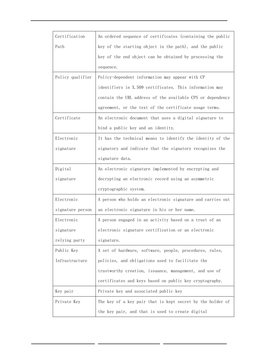| Certification    | An ordered sequence of certificates (containing the public |
|------------------|------------------------------------------------------------|
| Path             | key of the starting object in the path), and the public    |
|                  | key of the end object can be obtained by processing the    |
|                  | sequence.                                                  |
| Policy qualifier | Policy-dependent information may appear with CP            |
|                  | identifiers in X.509 certificates. This information may    |
|                  | contain the URL address of the available CPS or dependency |
|                  | agreement, or the text of the certificate usage terms.     |
| Certificate      | An electronic document that uses a digital signature to    |
|                  | bind a public key and an identity.                         |
| Electronic       | It has the technical means to identify the identity of the |
| signature        | signatory and indicate that the signatory recognizes the   |
|                  | signature data.                                            |
| Digital          | An electronic signature implemented by encrypting and      |
| signature        | decrypting an electronic record using an asymmetric        |
|                  | cryptographic system.                                      |
| Electronic       | A person who holds an electronic signature and carries out |
| signature person | an electronic signature in his or her name.                |
| Electronic       | A person engaged in an activity based on a trust of an     |
| signature        | electronic signature certification or an electronic        |
| relying party    | signature.                                                 |
| Public Key       | A set of hardware, software, people, procedures, rules,    |
| Infrastructure   | policies, and obligations used to facilitate the           |
|                  | trustworthy creation, issuance, management, and use of     |
|                  | certificates and keys based on public key cryptography.    |
| Key pair         | Private key and associated public key                      |
| Private Key      | The key of a key pair that is kept secret by the holder of |
|                  | the key pair, and that is used to create digital           |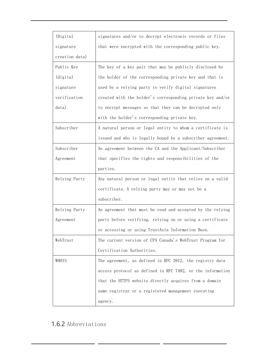| (Digital)      | signatures and/or to decrypt electronic records or files   |
|----------------|------------------------------------------------------------|
| signature      | that were encrypted with the corresponding public key.     |
| creation data) |                                                            |
| Public Key     | The key of a key pair that may be publicly disclosed by    |
| (digital)      | the holder of the corresponding private key and that is    |
| signature      | used by a relying party to verify digital signatures       |
| verification   | created with the holder's corresponding private key and/or |
| data)          | to encrypt messages so that they can be decrypted only     |
|                | with the holder's corresponding private key.               |
| Subscriber     | A natural person or legal entity to whom a certificate is  |
|                | issued and who is legally bound by a subscriber agreement. |
| Subscriber     | An agreement between the CA and the Applicant/Subscriber   |
| Agreement      | that specifies the rights and responsibilities of the      |
|                | parties.                                                   |
| Relying Party  | Any natural person or legal entity that relies on a valid  |
|                | certificate. A relying party may or may not be a           |
|                | subscriber.                                                |
| Relying Party  | An agreement that must be read and accepted by the relying |
| Agreement      | party before verifying, relying on or using a certificate  |
|                | or accessing or using TrustAsia Information Base.          |
| WebTrust       | The current version of CPA Canada's WebTrust Program for   |
|                | Certification Authorities.                                 |
| WHOIS          | The agreement, as defined in RFC 3912, the registry data   |
|                | access protocol as defined in RFC 7482, or the information |
|                | that the HTTPS website directly acquires from a domain     |
|                | name registrar or a registered management executing        |
|                | agency.                                                    |

### <span id="page-21-0"></span>1.6.2 Abbreviations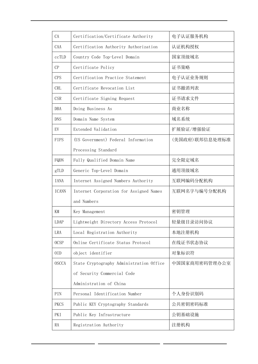| CA           | Certification/Certificate Authority      | 电子认证服务机构       |
|--------------|------------------------------------------|----------------|
| CAA          | Certification Authority Authorization    | 认证机构授权         |
| ccTLD        | Country Code Top-Level Domain            | 国家顶级域名         |
| CP           | Certificate Policy                       | 证书策略           |
| <b>CPS</b>   | Certification Practice Statement         | 电子认证业务规则       |
| <b>CRL</b>   | Certificate Revocation List              | 证书撤消列表         |
| <b>CSR</b>   | Certificate Signing Request              | 证书请求文件         |
| DBA          | Doing Business As                        | 商业名称           |
| <b>DNS</b>   | Domain Name System                       | 域名系统           |
| EV           | Extended Validation                      | 扩展验证/增强验证      |
| <b>FIPS</b>  | (US Government) Federal Information      | (美国政府)联邦信息处理标准 |
|              | Processing Standard                      |                |
| FQDN         | Fully Qualified Domain Name              | 完全限定域名         |
| gTLD         | Generic Top-Level Domain                 | 通用顶级域名         |
| <b>IANA</b>  | Internet Assigned Numbers Authority      | 互联网编码分配机构      |
| <b>ICANN</b> | Internet Corporation for Assigned Names  | 互联网名字与编号分配机构   |
|              | and Numbers                              |                |
| <b>KM</b>    | Key Management                           | 密钥管理           |
| LDAP         | Lightweight Directory Access Protocol    | 轻量级目录访问协议      |
| LRA          | Local Registration Authority             | 本地注册机构         |
| <b>OCSP</b>  | Online Certificate Status Protocol       | 在线证书状态协议       |
| 0ID          | object identifier                        | 对象标识符          |
| <b>OSCCA</b> | State Cryptography Administration Office | 中国国家商用密码管理办公室  |
|              | of Security Commercial Code              |                |
|              | Administration of China                  |                |
| PIN          | Personal Identification Number           | 个人身份识别码        |
| <b>PKCS</b>  | Public KEY Cryptography Standards        | 公共密钥密码标准       |
| PKI          | Public Key Infrastructure                | 公钥基础设施         |
| RA           | Registration Authority                   | 注册机构           |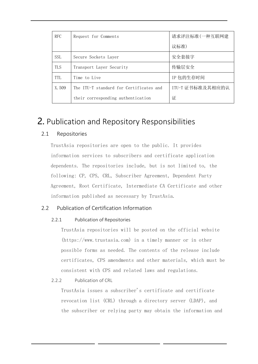| <b>RFC</b> | Request for Comments                    | 请求评注标准(一种互联网建    |
|------------|-----------------------------------------|------------------|
|            |                                         | 议标准)             |
| <b>SSL</b> | Secure Sockets Laver                    | 安全套接字            |
| <b>TLS</b> | Transport Layer Security                | 传输层安全            |
| <b>TTL</b> | Time to Live                            | IP 包的生存时间        |
| X.509      | The ITU-T standard for Certificates and | ITU-T 证书标准及其相应的认 |
|            | their corresponding authentication      | 证                |

## <span id="page-23-0"></span>2. Publication and Repository Responsibilities

### <span id="page-23-1"></span>2.1 Repositories

TrustAsia repositories are open to the public. It provides information services to subscribers and certificate application dependents. The repositories include, but is not limited to, the following: CP, CPS, CRL, Subscriber Agreement, Dependent Party Agreement, Root Certificate, Intermediate CA Certificate and other information published as necessary by TrustAsia.

### <span id="page-23-3"></span><span id="page-23-2"></span>2.2 Publication of Certification Information

### 2.2.1 Publication of Repositories

TrustAsia repositories will be posted on the official website (https://www.trustasia.com) in a timely manner or in other possible forms as needed. The contents of the release include certificates, CPS amendments and other materials, which must be consistent with CPS and related laws and regulations.

<span id="page-23-4"></span>2.2.2 Publication of CRL

TrustAsia issues a subscriber's certificate and certificate revocation list (CRL) through a directory server (LDAP), and the subscriber or relying party may obtain the information and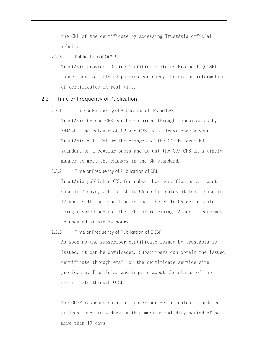the CRL of the certificate by accessing TrustAsia official website.

#### <span id="page-24-0"></span>2.2.3 Publication of OCSP

TrustAsia provides Online Certificate Status Protocol (OCSP), subscribers or relying parties can query the status information of certificates in real time.

#### <span id="page-24-2"></span><span id="page-24-1"></span>2.3 Time or Frequency of Publication

2.3.1 Time or Frequency of Publication of CP and CPS

TrustAsia CP and CPS can be obtained through repositories by 7d\*24h. The release of CP and CPS is at least once a year. TrustAsia will follow the changes of the CA/ B Forum BR standard on a regular basis and adjust the CP/ CPS in a timely manner to meet the changes in the BR standard.

#### <span id="page-24-3"></span>2.3.2 Time or Frequency of Publication of CRL

TrustAsia publishes CRL for subscriber certificates at least once in 7 days; CRL for child CA certificates at least once in 12 months,If the condition is that the child CA certificate being revoked occurs, the CRL for releasing CA certificate must be updated within 24 hours.

#### <span id="page-24-4"></span>2.3.3 Time or Frequency of Publication of OCSP

As soon as the subscriber certificate issued by TrustAsia is issued, it can be downloaded. Subscribers can obtain the issued certificate through email or the certificate service site provided by TrustAsia, and inquire about the status of the certificate through OCSP.

The OCSP response data for subscriber certificates is updated at least once in 4 days, with a maximum validity period of not more than 10 days.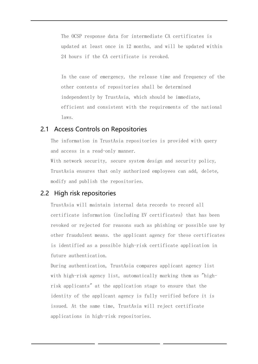The OCSP response data for intermediate CA certificates is updated at least once in 12 months, and will be updated within 24 hours if the CA certificate is revoked.

In the case of emergency, the release time and frequency of the other contents of repositories shall be determined independently by TrustAsia, which should be immediate, efficient and consistent with the requirements of the national laws.

### 2.1 Access Controls on Repositories

The information in TrustAsia repositories is provided with query and access in a read-only manner.

With network security, secure system design and security policy, TrustAsia ensures that only authorized employees can add, delete, modify and publish the repositories.

### 2.2 High risk repositories

TrustAsia will maintain internal data records to record all certificate information (including EV certificates) that has been revoked or rejected for reasons such as phishing or possible use by other fraudulent means. the applicant agency for these certificates is identified as a possible high-risk certificate application in future authentication.

During authentication, TrustAsia compares applicant agency list with high-risk agency list, automatically marking them as "highrisk applicants" at the application stage to ensure that the identity of the applicant agency is fully verified before it is issued. At the same time, TrustAsia will reject certificate applications in high-risk repositories.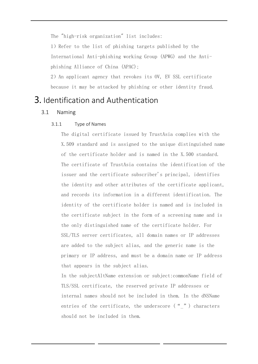The "high-risk organization" list includes:

1)Refer to the list of phishing targets published by the International Anti-phishing working Group (APWG) and the Antiphishing Alliance of China (APAC);

2)An applicant agency that revokes its OV, EV SSL certificate because it may be attacked by phishing or other identity fraud.

### <span id="page-26-1"></span><span id="page-26-0"></span>3. Identification and Authentication

### <span id="page-26-2"></span>3.1 Naming

#### 3.1.1 Type of Names

The digital certificate issued by TrustAsia complies with the X.509 standard and is assigned to the unique distinguished name of the certificate holder and is named in the X.500 standard. The certificate of TrustAsia contains the identification of the issuer and the certificate subscriber's principal, identifies the identity and other attributes of the certificate applicant, and records its information in a different identification. The identity of the certificate holder is named and is included in the certificate subject in the form of a screening name and is the only distinguished name of the certificate holder. For SSL/TLS server certificates, all domain names or IP addresses are added to the subject alias, and the generic name is the primary or IP address, and must be a domain name or IP address that appears in the subject alias.

In the subjectAltName extension or subject:commonName field of TLS/SSL certificate, the reserved private IP addresses or internal names should not be included in them. In the dNSName entries of the certificate, the underscore  $($  " $)$  characters should not be included in them.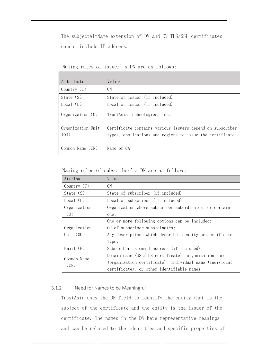The subjectAltName extension of DV and EV TLS/SSL certificates cannot include IP address. .

| Attribute                 | Value                                                                                                                  |
|---------------------------|------------------------------------------------------------------------------------------------------------------------|
| Country $(C)$             | <b>CN</b>                                                                                                              |
| State $(S)$               | State of issuer (if included)                                                                                          |
| Local (L)                 | Local of issuer (if included)                                                                                          |
| $0$ rganization $(0)$     | TrustAsia Technologies, Inc.                                                                                           |
| Organization Unit<br>(0U) | Certificate contains various issuers depend on subscriber<br>types, applications and regions to issue the certificate. |
| Common Name $(CN)$        | Name of CA                                                                                                             |

Naming rules of issuer's DN are as follows:

Naming rules of subscriber's DN are as follows:

| Attribute           | Value                                                   |
|---------------------|---------------------------------------------------------|
| Country $(C)$       | <b>CN</b>                                               |
| State (S)           | State of subscriber (if included)                       |
| Local (L)           | Local of subscriber (if included)                       |
| Organization        | Organization where subscriber subordinates for certain  |
| (0)                 | one;                                                    |
|                     | One or more following options can be included:          |
| Organization        | OU of subscriber subordinates;                          |
| Unit $(0U)$         | Any descriptions which describe identity or certificate |
|                     | type;                                                   |
| Email $(E)$         | Subscriber's email address (if included)                |
|                     | Domain name (SSL/TLS certificate), organization name    |
| Common Name<br>(CN) | (organization certificate), individual name (individual |
|                     | certificate), or other identifiable names.              |

### <span id="page-27-0"></span>3.1.2 Need for Names to be Meaningful

TrustAsia uses the DN field to identify the entity that is the subject of the certificate and the entity is the issuer of the certificate, The names in the DN have representative meanings and can be related to the identities and specific properties of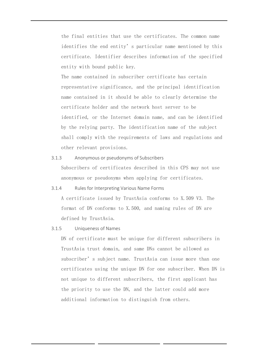the final entities that use the certificates. The common name identifies the end entity's particular name mentioned by this certificate. Identifier describes information of the specified entity with bound public key.

The name contained in subscriber certificate has certain representative significance, and the principal identification name contained in it should be able to clearly determine the certificate holder and the network host server to be identified, or the Internet domain name, and can be identified by the relying party. The identification name of the subject shall comply with the requirements of laws and regulations and other relevant provisions.

- <span id="page-28-0"></span>3.1.3 Anonymous or pseudonyms of Subscribers Subscribers of certificates described in this CPS may not use anonymous or pseudonyms when applying for certificates.
- <span id="page-28-1"></span>3.1.4 Rules for Interpreting Various Name Forms

A certificate issued by TrustAsia conforms to X.509 V3. The format of DN conforms to X.500, and naming rules of DN are defined by TrustAsia.

<span id="page-28-2"></span>3.1.5 Uniqueness of Names

DN of certificate must be unique for different subscribers in TrustAsia trust domain, and same DNs cannot be allowed as subscriber's subject name. TrustAsia can issue more than one certificates using the unique DN for one subscriber. When DN is not unique to different subscribers, the first applicant has the priority to use the DN, and the latter could add more additional information to distinguish from others.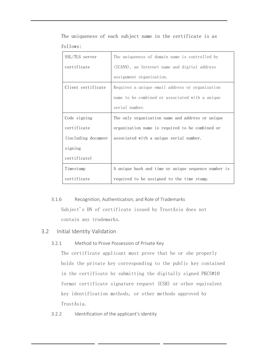| SSL/TLS server       | The uniqueness of domain name is controlled by      |
|----------------------|-----------------------------------------------------|
| certificate          | (ICANN), an Internet name and digital address       |
|                      | assignment organization.                            |
| Client certificate   | Requires a unique email address or organization     |
|                      | name to be combined or associated with a unique     |
|                      | serial number.                                      |
| Code signing         | The only organization name and address or unique    |
| certificate          | organization name is required to be combined or     |
| (including document) | associated with a unique serial number.             |
| signing              |                                                     |
| certificate)         |                                                     |
| Timestamp            | A unique hash and time or unique sequence number is |
| certificate          | required to be assigned to the time stamp.          |

The uniqueness of each subject name in the certificate is as follows:

### <span id="page-29-0"></span>3.1.6 Recognition, Authentication, and Role of Trademarks Subject's DN of certificate issued by TrustAsia does not contain any trademarks.

### <span id="page-29-2"></span><span id="page-29-1"></span>3.2 Initial Identity Validation

### 3.2.1 Method to Prove Possession of Private Key

The certificate applicant must prove that he or she properly holds the private key corresponding to the public key contained in the certificate by submitting the digitally signed PKCS#10 format certificate signature request (CSR) or other equivalent key identification methods, or other methods approved by TrustAsia.

<span id="page-29-3"></span>3.2.2 Identification of the applicant's identity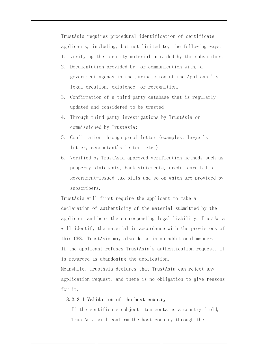TrustAsia requires procedural identification of certificate applicants, including, but not limited to, the following ways:

- 1. verifying the identity material provided by the subscriber;
- 2. Documentation provided by, or communication with, a government agency in the jurisdiction of the Applicant's legal creation, existence, or recognition.
- 3. Confirmation of a third-party database that is regularly updated and considered to be trusted;
- 4. Through third party investigations by TrustAsia or commissioned by TrustAsia;
- 5. Confirmation through proof letter (examples: lawyer's letter, accountant's letter, etc.)
- 6. Verified by TrustAsia approved verification methods such as property statements, bank statements, credit card bills, government-issued tax bills and so on which are provided by subscribers.

TrustAsia will first require the applicant to make a declaration of authenticity of the material submitted by the applicant and bear the corresponding legal liability. TrustAsia will identify the material in accordance with the provisions of this CPS. TrustAsia may also do so in an additional manner. If the applicant refuses TrustAsia's authentication request, it is regarded as abandoning the application.

Meanwhile, TrustAsia declares that TrustAsia can reject any application request, and there is no obligation to give reasons for it.

### 3.2.2.1 Validation of the host country

If the certificate subject item contains a country field, TrustAsia will confirm the host country through the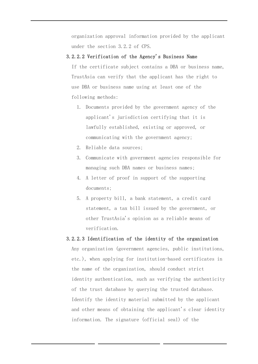organization approval information provided by the applicant under the section 3.2.2 of CPS.

#### 3.2.2.2 Verification of the Agency's Business Name

If the certificate subject contains a DBA or business name, TrustAsia can verify that the applicant has the right to use DBA or business name using at least one of the following methods:

- 1. Documents provided by the government agency of the applicant's jurisdiction certifying that it is lawfully established, existing or approved, or communicating with the government agency;
- 2. Reliable data sources;
- 3. Communicate with government agencies responsible for managing such DBA names or business names;
- 4. A letter of proof in support of the supporting documents;
- 5. A property bill, a bank statement, a credit card statement, a tax bill issued by the government, or other TrustAsia's opinion as a reliable means of verification.

#### 3.2.2.3 Identification of the identity of the organization

Any organization (government agencies, public institutions, etc.), when applying for institution-based certificates in the name of the organization, should conduct strict identity authentication, such as verifying the authenticity of the trust database by querying the trusted database. Identify the identity material submitted by the applicant and other means of obtaining the applicant's clear identity information. The signature (official seal) of the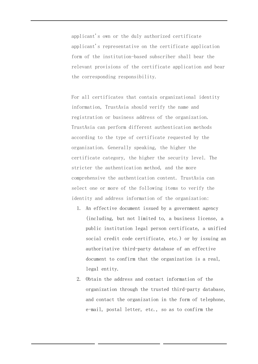applicant's own or the duly authorized certificate applicant's representative on the certificate application form of the institution-based subscriber shall bear the relevant provisions of the certificate application and bear the corresponding responsibility.

For all certificates that contain organizational identity information, TrustAsia should verify the name and registration or business address of the organization. TrustAsia can perform different authentication methods according to the type of certificate requested by the organization. Generally speaking, the higher the certificate category, the higher the security level. The stricter the authentication method, and the more comprehensive the authentication content. TrustAsia can select one or more of the following items to verify the identity and address information of the organization:

- 1. An effective document issued by a government agency (including, but not limited to, a business license, a public institution legal person certificate, a unified social credit code certificate, etc.) or by issuing an authoritative third-party database of an effective document to confirm that the organization is a real, legal entity.
- 2. Obtain the address and contact information of the organization through the trusted third-party database, and contact the organization in the form of telephone, e-mail, postal letter, etc., so as to confirm the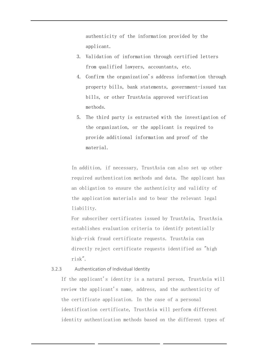authenticity of the information provided by the applicant.

- 3. Validation of information through certified letters from qualified lawyers, accountants, etc.
- 4. Confirm the organization's address information through property bills, bank statements, government-issued tax bills, or other TrustAsia approved verification methods.
- 5. The third party is entrusted with the investigation of the organization, or the applicant is required to provide additional information and proof of the material.

In addition, if necessary, TrustAsia can also set up other required authentication methods and data. The applicant has an obligation to ensure the authenticity and validity of the application materials and to bear the relevant legal liability.

For subscriber certificates issued by TrustAsia, TrustAsia establishes evaluation criteria to identify potentially high-risk fraud certificate requests. TrustAsia can directly reject certificate requests identified as "high risk".

### <span id="page-33-0"></span>3.2.3 Authentication of Individual Identity

If the applicant's identity is a natural person, TrustAsia will review the applicant's name, address, and the authenticity of the certificate application. In the case of a personal identification certificate, TrustAsia will perform different identity authentication methods based on the different types of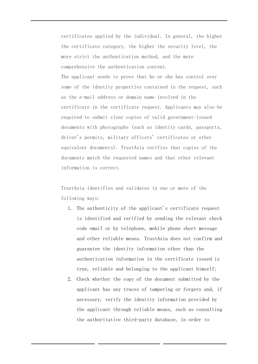certificates applied by the individual. In general, the higher the certificate category, the higher the security level, the more strict the authentication method, and the more comprehensive the authentication content. The applicant needs to prove that he or she has control over some of the identity properties contained in the request, such as the e-mail address or domain name involved in the certificate in the certificate request. Applicants may also be required to submit clear copies of valid government-issued documents with photographs (such as identity cards, passports, driver's permits, military officers' certificates or other equivalent documents). TrustAsia verifies that copies of the documents match the requested names and that other relevant information is correct.

TrustAsia identifies and validates in one or more of the following ways:

- 1. The authenticity of the applicant's certificate request is identified and verified by sending the relevant check code email or by telephone, mobile phone short message and other reliable means. TrustAsia does not confirm and guarantee the identity information other than the authentication information in the certificate issued is true, reliable and belonging to the applicant himself;
- 2. Check whether the copy of the document submitted by the applicant has any traces of tampering or forgery and, if necessary, verify the identity information provided by the applicant through reliable means, such as consulting the authoritative third-party database, in order to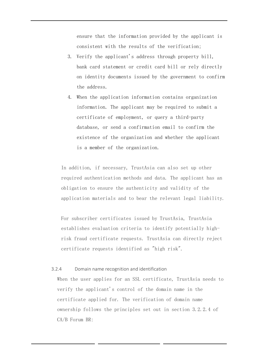ensure that the information provided by the applicant is consistent with the results of the verification;

- 3. Verify the applicant's address through property bill, bank card statement or credit card bill or rely directly on identity documents issued by the government to confirm the address.
- 4. When the application information contains organization information. The applicant may be required to submit a certificate of employment, or query a third-party database, or send a confirmation email to confirm the existence of the organization and whether the applicant is a member of the organization.

In addition, if necessary, TrustAsia can also set up other required authentication methods and data. The applicant has an obligation to ensure the authenticity and validity of the application materials and to bear the relevant legal liability.

For subscriber certificates issued by TrustAsia, TrustAsia establishes evaluation criteria to identify potentially highrisk fraud certificate requests. TrustAsia can directly reject certificate requests identified as "high risk".

#### <span id="page-35-0"></span>3.2.4 Domain name recognition and identification

When the user applies for an SSL certificate, TrustAsia needs to verify the applicant's control of the domain name in the certificate applied for. The verification of domain name ownership follows the principles set out in section 3.2.2.4 of CA/B Forum BR: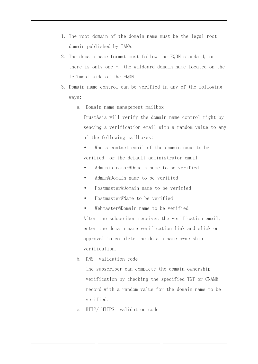- 1. The root domain of the domain name must be the legal root domain published by IANA.
- 2. The domain name format must follow the FQDN standard, or there is only one \*. the wildcard domain name located on the leftmost side of the FQDN.
- 3. Domain name control can be verified in any of the following ways:
	- a. Domain name management mailbox

TrustAsia will verify the domain name control right by sending a verification email with a random value to any of the following mailboxes:

- Whois contact email of the domain name to be verified, or the default administrator email
- Administrator@Domain name to be verified
- Admin@Domain name to be verified
- Postmaster@Domain name to be verified
- Hostmaster@Name to be verified
- Webmaster@Domain name to be verified After the subscriber receives the verification email, enter the domain name verification link and click on approval to complete the domain name ownership verification.
- b. DNS validation code

The subscriber can complete the domain ownership verification by checking the specified TXT or CNAME record with a random value for the domain name to be verified.

c. HTTP/ HTTPS validation code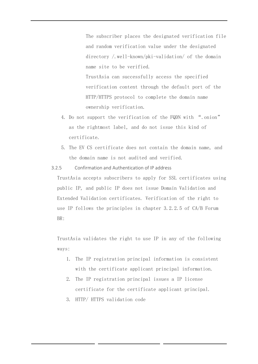The subscriber places the designated verification file and random verification value under the designated directory /.well-known/pki-validation/ of the domain name site to be verified.

TrustAsia can successfully access the specified verification content through the default port of the HTTP/HTTPS protocol to complete the domain name ownership verification.

- 4. Do not support the verification of the FQDN with ".onion" as the rightmost label, and do not issue this kind of certificate.
- 5. The EV CS certificate does not contain the domain name, and the domain name is not audited and verified.

3.2.5 Confirmation and Authentication of IP address

TrustAsia accepts subscribers to apply for SSL certificates using public IP, and public IP does not issue Domain Validation and Extended Validation certificates. Verification of the right to use IP follows the principles in chapter 3.2.2.5 of CA/B Forum BR:

TrustAsia validates the right to use IP in any of the following ways:

- 1. The IP registration principal information is consistent with the certificate applicant principal information.
- 2. The IP registration principal issues a IP license certificate for the certificate applicant principal.
- 3. HTTP/ HTTPS validation code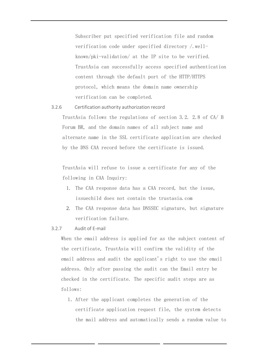Subscriber put specified verification file and random verification code under specified directory /.wellknown/pki-validation/ at the IP site to be verified. TrustAsia can successfully access specified authentication content through the default port of the HTTP/HTTPS protocol, which means the domain name ownership verification can be completed.

#### 3.2.6 Certification authority authorization record

TrustAsia follows the regulations of section 3.2. 2.8 of CA/ B Forum BR, and the domain names of all subject name and alternate name in the SSL certificate application are checked by the DNS CAA record before the certificate is issued.

TrustAsia will refuse to issue a certificate for any of the following in CAA Inquiry:

- 1. The CAA response data has a CAA record, but the issue, issuechild does not contain the trustasia.com
- 2. The CAA response data has DNSSEC signature, but signature verification failure.

#### 3.2.7 Audit of E-mail

When the email address is applied for as the subject content of the certificate, TrustAsia will confirm the validity of the email address and audit the applicant's right to use the email address. Only after passing the audit can the Email entry be checked in the certificate. The specific audit steps are as follows:

1.After the applicant completes the generation of the certificate application request file, the system detects the mail address and automatically sends a random value to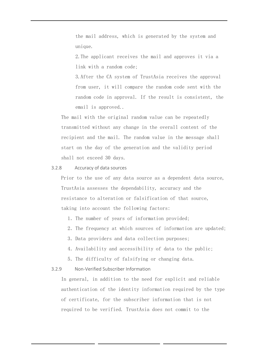the mail address, which is generated by the system and unique.

2.The applicant receives the mail and approves it via a link with a random code;

3.After the CA system of TrustAsia receives the approval from user, it will compare the random code sent with the random code in approval. If the result is consistent, the email is approved..

The mail with the original random value can be repeatedly transmitted without any change in the overall content of the recipient and the mail. The random value in the message shall start on the day of the generation and the validity period shall not exceed 30 days.

#### 3.2.8 Accuracy of data sources

Prior to the use of any data source as a dependent data source, TrustAsia assesses the dependability, accuracy and the resistance to alteration or falsification of that source, taking into account the following factors:

- 1.The number of years of information provided;
- 2.The frequency at which sources of information are updated;
- 3. Data providers and data collection purposes;
- 4.Availability and accessibility of data to the public;
- 5.The difficulty of falsifying or changing data.

#### 3.2.9 Non-Verified Subscriber Information

In general, in addition to the need for explicit and reliable authentication of the identity information required by the type of certificate, for the subscriber information that is not required to be verified. TrustAsia does not commit to the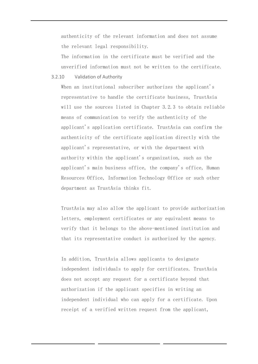authenticity of the relevant information and does not assume the relevant legal responsibility.

The information in the certificate must be verified and the unverified information must not be written to the certificate.

3.2.10 Validation of Authority

When an institutional subscriber authorizes the applicant's representative to handle the certificate business, TrustAsia will use the sources listed in Chapter 3.2.3 to obtain reliable means of communication to verify the authenticity of the applicant's application certificate. TrustAsia can confirm the authenticity of the certificate application directly with the applicant's representative, or with the department with authority within the applicant's organization, such as the applicant's main business office, the company's office, Human Resources Office, Information Technology Office or such other department as TrustAsia thinks fit.

TrustAsia may also allow the applicant to provide authorization letters, employment certificates or any equivalent means to verify that it belongs to the above-mentioned institution and that its representative conduct is authorized by the agency.

In addition, TrustAsia allows applicants to designate independent individuals to apply for certificates. TrustAsia does not accept any request for a certificate beyond that authorization if the applicant specifies in writing an independent individual who can apply for a certificate. Upon receipt of a verified written request from the applicant,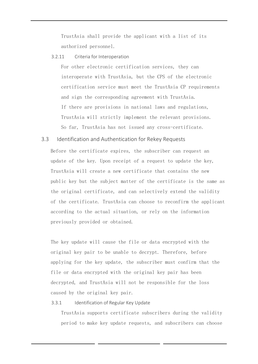TrustAsia shall provide the applicant with a list of its authorized personnel.

#### 3.2.11 Criteria for Interoperation

For other electronic certification services, they can interoperate with TrustAsia, but the CPS of the electronic certification service must meet the TrustAsia CP requirements and sign the corresponding agreement with TrustAsia. If there are provisions in national laws and regulations, TrustAsia will strictly implement the relevant provisions. So far, TrustAsia has not issued any cross-certificate.

#### 3.3 Identification and Authentication for Rekey Requests

Before the certificate expires, the subscriber can request an update of the key. Upon receipt of a request to update the key, TrustAsia will create a new certificate that contains the new public key but the subject matter of the certificate is the same as the original certificate, and can selectively extend the validity of the certificate. TrustAsia can choose to reconfirm the applicant according to the actual situation, or rely on the information previously provided or obtained.

The key update will cause the file or data encrypted with the original key pair to be unable to decrypt. Therefore, before applying for the key update, the subscriber must confirm that the file or data encrypted with the original key pair has been decrypted, and TrustAsia will not be responsible for the loss caused by the original key pair.

#### 3.3.1 Identification of Regular Key Update

TrustAsia supports certificate subscribers during the validity period to make key update requests, and subscribers can choose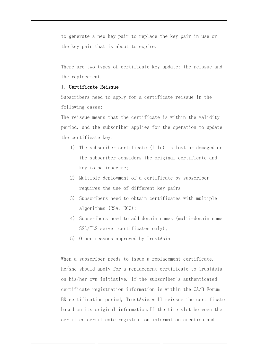to generate a new key pair to replace the key pair in use or the key pair that is about to expire.

There are two types of certificate key update: the reissue and the replacement.

#### 1. Certificate Reissue

Subscribers need to apply for a certificate reissue in the following cases:

The reissue means that the certificate is within the validity period, and the subscriber applies for the operation to update the certificate key.

- 1) The subscriber certificate (file) is lost or damaged or the subscriber considers the original certificate and key to be insecure;
- 2) Multiple deployment of a certificate by subscriber requires the use of different key pairs;
- 3) Subscribers need to obtain certificates with multiple algorithms (RSA、ECC);
- 4) Subscribers need to add domain names (multi-domain name SSL/TLS server certificates only);
- 5) Other reasons approved by TrustAsia.

When a subscriber needs to issue a replacement certificate, he/she should apply for a replacement certificate to TrustAsia on his/her own initiative. If the subscriber's authenticated certificate registration information is within the CA/B Forum BR certification period, TrustAsia will reissue the certificate based on its original information.If the time slot between the certified certificate registration information creation and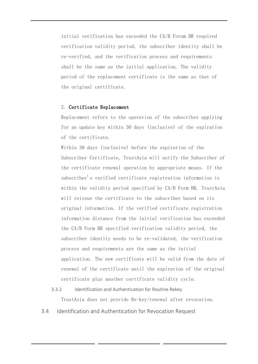initial verification has exceeded the CA/B Forum BR required verification validity period, the subscriber identity shall be re-verified, and the verification process and requirements shall be the same as the initial application. The validity period of the replacement certificate is the same as that of the original certificate.

#### 2. Certificate Replacement

Replacement refers to the operation of the subscriber applying for an update key within 30 days (inclusive) of the expiration of the certificate.

Within 30 days (inclusive) before the expiration of the Subscriber Certificate, TrustAsia will notify the Subscriber of the certificate renewal operation by appropriate means. If the subscriber's verified certificate registration information is within the validity period specified by CA/B Form BR. TrustAsia will reissue the certificate to the subscriber based on its original information. If the verified certificate registration information distance from the initial verification has exceeded the CA/B Form BR specified verification validity period, the subscriber identity needs to be re-validated, the verification process and requirements are the same as the initial application. The new certificate will be valid from the date of renewal of the certificate until the expiration of the original certificate plus another certificate validity cycle.

- 3.3.2 Identification and Authentication for Routine Rekey TrustAsia does not provide Re-key/renewal after revocation.
- 3.4 Identification and Authentication for Revocation Request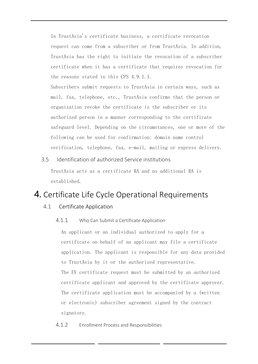In TrustAsia's certificate business, a certificate revocation request can come from a subscriber or from TrustAsia. In addition, TrustAsia has the right to initiate the revocation of a subscriber certificate when it has a certificate that requires revocation for the reasons stated in this CPS 4.9.1.1.

Subscribers submit requests to TrustAsia in certain ways, such as mail, fax, telephone, etc., TrustAsia confirms that the person or organization revoke the certificate is the subscriber or its authorized person in a manner corresponding to the certificate safeguard level. Depending on the circumstances, one or more of the following can be used for confirmation: domain name control verification, telephone, fax, e-mail, mailing or express delivery.

# 3.5 Identification of authorized Service institutions

TrustAsia acts as a certificate RA and no additional RA is established.

# 4. Certificate Life Cycle Operational Requirements

# 4.1 Certificate Application

4.1.1 Who Can Submit a Certificate Application

An applicant or an individual authorized to apply for a certificate on behalf of an applicant may file a certificate application. The applicant is responsible for any data provided to TrustAsia by it or the authorized representative. The EV certificate request must be submitted by an authorized certificate applicant and approved by the certificate approver. The certificate application must be accompanied by a (written or electronic) subscriber agreement signed by the contract signatory.

4.1.2 Enrollment Process and Responsibilities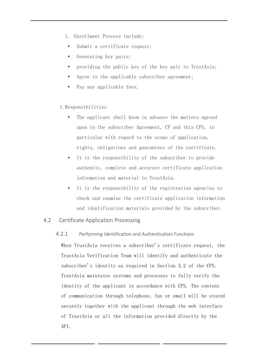- 1. Enrollment Process include:
- Submit a certificate request:
- Generating key pairs;
- providing the public key of the key pair to TrustAsia;
- Agree to the applicable subscriber agreement;
- Pay any applicable fees.

## 1.Responsibilities

- The applicant shall know in advance the matters agreed upon in the subscriber Agreement, CP and this CPS, in particular with regard to the scope of application, rights, obligations and guarantees of the certificate.
- It is the responsibility of the subscriber to provide authentic, complete and accurate certificate application information and material to TrustAsia.
- It is the responsibility of the registration agencies to check and examine the certificate application information and identification materials provided by the subscriber.

## 4.2 Certificate Application Processing

#### 4.2.1 Performing Identification and Authentication Functions

When TrustAsia receives a subscriber's certificate request, the TrustAsia Verification Team will identify and authenticate the subscriber's identity as required in Section 3.2 of the CPS. TrustAsia maintains systems and processes to fully verify the identity of the applicant in accordance with CPS. The content of communication through telephone, fax or email will be stored securely together with the applicant through the web interface of TrustAsia or all the information provided directly by the API.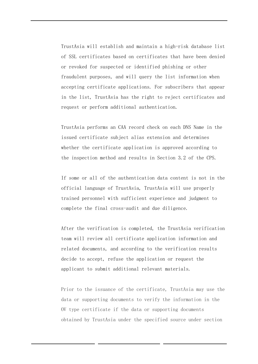TrustAsia will establish and maintain a high-risk database list of SSL certificates based on certificates that have been denied or revoked for suspected or identified phishing or other fraudulent purposes, and will query the list information when accepting certificate applications. For subscribers that appear in the list, TrustAsia has the right to reject certificates and request or perform additional authentication.

TrustAsia performs an CAA record check on each DNS Name in the issued certificate subject alias extension and determines whether the certificate application is approved according to the inspection method and results in Section 3.2 of the CPS.

If some or all of the authentication data content is not in the official language of TrustAsia, TrustAsia will use properly trained personnel with sufficient experience and judgment to complete the final cross-audit and due diligence.

After the verification is completed, the TrustAsia verification team will review all certificate application information and related documents, and according to the verification results decide to accept, refuse the application or request the applicant to submit additional relevant materials.

Prior to the issuance of the certificate, TrustAsia may use the data or supporting documents to verify the information in the OV type certificate if the data or supporting documents obtained by TrustAsia under the specified source under section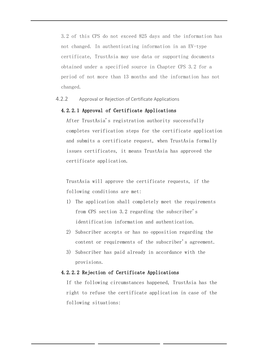3.2 of this CPS do not exceed 825 days and the information has not changed. In authenticating information in an EV-type certificate, TrustAsia may use data or supporting documents obtained under a specified source in Chapter CPS 3.2 for a period of not more than 13 months and the information has not changed.

#### 4.2.2 Approval or Rejection of Certificate Applications

#### 4.2.2.1 Approval of Certificate Applications

After TrustAsia's registration authority successfully completes verification steps for the certificate application and submits a certificate request, when TrustAsia formally issues certificates, it means TrustAsia has approved the certificate application.

TrustAsia will approve the certificate requests, if the following conditions are met:

- 1) The application shall completely meet the requirements from CPS section 3.2 regarding the subscriber's identification information and authentication.
- 2) Subscriber accepts or has no opposition regarding the content or requirements of the subscriber's agreement.
- 3) Subscriber has paid already in accordance with the provisions.

#### 4.2.2.2 Rejection of Certificate Applications

If the following circumstances happened, TrustAsia has the right to refuse the certificate application in case of the following situations: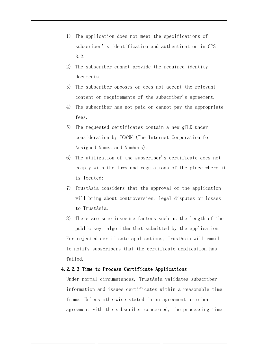- 1) The application does not meet the specifications of subscriber's identification and authentication in CPS 3.2.
- 2) The subscriber cannot provide the required identity documents.
- 3) The subscriber opposes or does not accept the relevant content or requirements of the subscriber's agreement.
- 4) The subscriber has not paid or cannot pay the appropriate fees.
- 5) The requested certificates contain a new gTLD under consideration by ICANN (The Internet Corporation for Assigned Names and Numbers).
- 6) The utilization of the subscriber's certificate does not comply with the laws and regulations of the place where it is located;
- 7) TrustAsia considers that the approval of the application will bring about controversies, legal disputes or losses to TrustAsia.
- 8) There are some insecure factors such as the length of the public key, algorithm that submitted by the application. For rejected certificate applications, TrustAsia will email to notify subscribers that the certificate application has failed.

#### 4.2.2.3 Time to Process Certificate Applications

Under normal circumstances, TrustAsia validates subscriber information and issues certificates within a reasonable time frame. Unless otherwise stated in an agreement or other agreement with the subscriber concerned, the processing time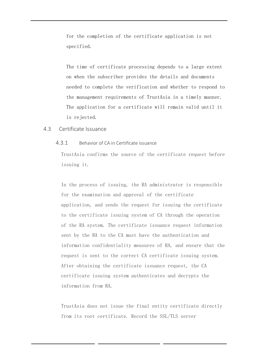for the completion of the certificate application is not specified.

The time of certificate processing depends to a large extent on when the subscriber provides the details and documents needed to complete the verification and whether to respond to the management requirements of TrustAsia in a timely manner. The application for a certificate will remain valid until it is rejected.

#### 4.3 Certificate Issuance

#### 4.3.1 Behavior of CA in Certificate issuance

TrustAsia confirms the source of the certificate request before issuing it.

In the process of issuing, the RA administrator is responsible for the examination and approval of the certificate application, and sends the request for issuing the certificate to the certificate issuing system of CA through the operation of the RA system. The certificate issuance request information sent by the RA to the CA must have the authentication and information confidentiality measures of RA, and ensure that the request is sent to the correct CA certificate issuing system. After obtaining the certificate issuance request, the CA certificate issuing system authenticates and decrypts the information from RA.

TrustAsia does not issue the final entity certificate directly from its root certificate. Record the SSL/TLS server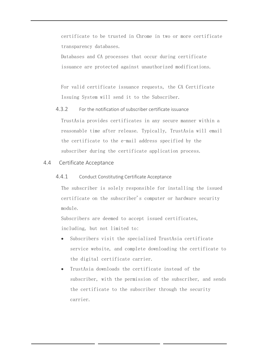certificate to be trusted in Chrome in two or more certificate transparency databases.

Databases and CA processes that occur during certificate issuance are protected against unauthorized modifications.

For valid certificate issuance requests, the CA Certificate Issuing System will send it to the Subscriber.

4.3.2 For the notification of subscriber certificate issuance

TrustAsia provides certificates in any secure manner within a reasonable time after release. Typically, TrustAsia will email the certificate to the e-mail address specified by the subscriber during the certificate application process.

### 4.4 Certificate Acceptance

#### 4.4.1 Conduct Constituting Certificate Acceptance

The subscriber is solely responsible for installing the issued certificate on the subscriber's computer or hardware security module.

Subscribers are deemed to accept issued certificates, including, but not limited to:

- Subscribers visit the specialized TrustAsia certificate service website, and complete downloading the certificate to the digital certificate carrier.
- TrustAsia downloads the certificate instead of the subscriber, with the permission of the subscriber, and sends the certificate to the subscriber through the security carrier.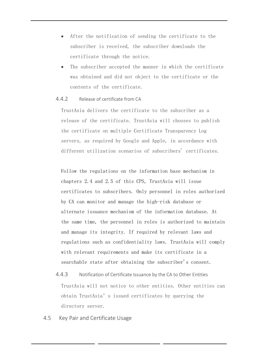- After the notification of sending the certificate to the subscriber is received, the subscriber downloads the certificate through the notice.
- The subscriber accepted the manner in which the certificate was obtained and did not object to the certificate or the contents of the certificate.

#### 4.4.2 Release of certificate from CA

TrustAsia delivers the certificate to the subscriber as a release of the certificate. TrustAsia will chooses to publish the certificate on multiple Certificate Transparency Log servers, as required by Google and Apple, in accordance with different utilization scenarios of subscribers' certificates.

Follow the regulations on the information base mechanism in chapters 2.4 and 2.5 of this CPS, TrustAsia will issue certificates to subscribers. Only personnel in roles authorized by CA can monitor and manage the high-risk database or alternate issuance mechanism of the information database. At the same time, the personnel in roles is authorized to maintain and manage its integrity. If required by relevant laws and regulations such as confidentiality laws. TrustAsia will comply with relevant requirements and make its certificate in a searchable state after obtaining the subscriber's consent.

- 4.4.3 Notification of Certificate Issuance by the CA to Other Entities TrustAsia will not notice to other entities. Other entities can obtain TrustAsia's issued certificates by querying the directory server.
- 4.5 Key Pair and Certificate Usage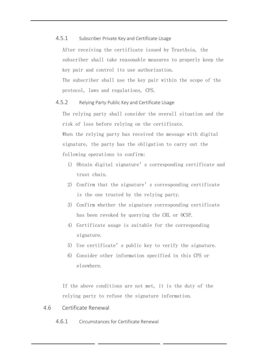#### 4.5.1 Subscriber Private Key and Certificate Usage

After receiving the certificate issued by TrustAsia, the subscriber shall take reasonable measures to properly keep the key pair and control its use authorization. The subscriber shall use the key pair within the scope of the protocol, laws and regulations, CPS.

#### 4.5.2 Relying Party Public Key and Certificate Usage

The relying party shall consider the overall situation and the risk of loss before relying on the certificate. When the relying party has received the message with digital signature, the party has the obligation to carry out the following operations to confirm:

- 1) Obtain digital signature's corresponding certificate and trust chain.
- 2) Confirm that the signature's corresponding certificate is the one trusted by the relying party.
- 3) Confirm whether the signature corresponding certificate has been revoked by querying the CRL or OCSP.
- 4) Certificate usage is suitable for the corresponding signature.
- 5) Use certificate's public key to verify the signature.
- 6) Consider other information specified in this CPS or elsewhere.

If the above conditions are not met, it is the duty of the relying party to refuse the signature information.

#### 4.6 Certificate Renewal

4.6.1 Circumstances for Certificate Renewal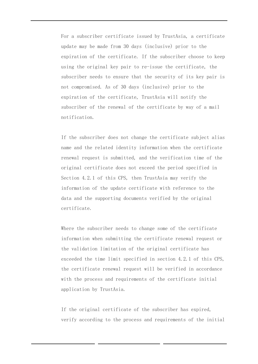For a subscriber certificate issued by TrustAsia, a certificate update may be made from 30 days (inclusive) prior to the expiration of the certificate. If the subscriber choose to keep using the original key pair to re-issue the certificate, the subscriber needs to ensure that the security of its key pair is not compromised. As of 30 days (inclusive) prior to the expiration of the certificate, TrustAsia will notify the subscriber of the renewal of the certificate by way of a mail notification.

If the subscriber does not change the certificate subject alias name and the related identity information when the certificate renewal request is submitted, and the verification time of the original certificate does not exceed the period specified in Section 4.2.1 of this CPS, then TrustAsia may verify the information of the update certificate with reference to the data and the supporting documents verified by the original certificate.

Where the subscriber needs to change some of the certificate information when submitting the certificate renewal request or the validation limitation of the original certificate has exceeded the time limit specified in section 4.2.1 of this CPS, the certificate renewal request will be verified in accordance with the process and requirements of the certificate initial application by TrustAsia.

If the original certificate of the subscriber has expired, verify according to the process and requirements of the initial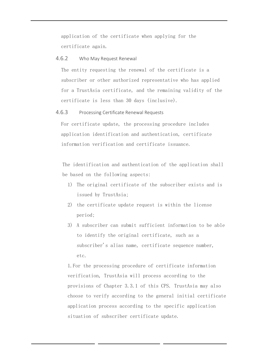application of the certificate when applying for the certificate again.

#### 4.6.2 Who May Request Renewal

The entity requesting the renewal of the certificate is a subscriber or other authorized representative who has applied for a TrustAsia certificate, and the remaining validity of the certificate is less than 30 days (inclusive).

#### 4.6.3 Processing Certificate Renewal Requests

For certificate update, the processing procedure includes application identification and authentication, certificate information verification and certificate issuance.

The identification and authentication of the application shall be based on the following aspects:

- 1) The original certificate of the subscriber exists and is issued by TrustAsia;
- 2) the certificate update request is within the license period;
- 3) A subscriber can submit sufficient information to be able to identify the original certificate, such as a subscriber's alias name, certificate sequence number, etc.

1.For the processing procedure of certificate information verification, TrustAsia will process according to the provisions of Chapter 3.3.1 of this CPS. TrustAsia may also choose to verify according to the general initial certificate application process according to the specific application situation of subscriber certificate update.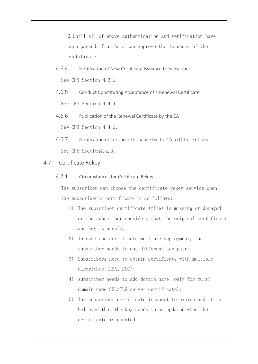2.Until all of above authentication and verification have been passed. TrustAsia can approve the issuance of the certificate.

- 4.6.4 Notification of New Certificate Issuance to Subscriber See CPS Section 4.3.2
- 4.6.5 Conduct Constituting Acceptance of a Renewal Certificate See CPS Section 4.4.1.
- 4.6.6 Publication of the Renewal Certificate by the CA See CPS Section 4.4.2.
- 4.6.7 Notification of Certificate Issuance by the CA to Other Entities See CPS Section4.4.3.

#### 4.7 Certificate Rekey

4.7.1 Circumstances for Certificate Rekey

The subscriber can choose the certificate rekey service when the subscriber's certificate is as follows:

- 1) The subscriber certificate (file) is missing or damaged or the subscriber considers that the original certificate and key is unsafe;
- 2) In case one certificate multiple deployment, the subscriber needs to use different key pairs.
- 3) Subscribers need to obtain certificate with multiple algorithms (RSA、ECC);
- 4) subscriber needs to add domain name (only for multidomain name SSL/TLS server certificate);
- 5) The subscriber certificate is about to expire and it is believed that the key needs to be updated when the certificate is updated.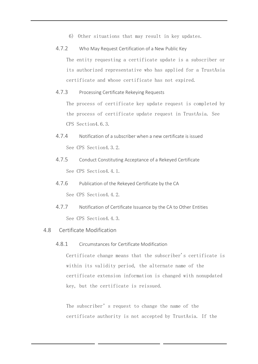- 6) Other situations that may result in key updates.
- 4.7.2 Who May Request Certification of a New Public Key The entity requesting a certificate update is a subscriber or its authorized representative who has applied for a TrustAsia certificate and whose certificate has not expired.
- 4.7.3 Processing Certificate Rekeying Requests

The process of certificate key update request is completed by the process of certificate update request in TrustAsia. See CPS Section4.6.3.

- 4.7.4 Notification of a subscriber when a new certificate is issued See CPS Section4.3.2.
- 4.7.5 Conduct Constituting Acceptance of a Rekeyed Certificate See CPS Section4.4.1.
- 4.7.6 Publication of the Rekeyed Certificate by the CA See CPS Section4.4.2.
- 4.7.7 Notification of Certificate Issuance by the CA to Other Entities See CPS Section4.4.3.
- 4.8 Certificate Modification
	- 4.8.1 Circumstances for Certificate Modification

Certificate change means that the subscriber's certificate is within its validity period, the alternate name of the certificate extension information is changed with nonupdated key, but the certificate is reissued.

The subscriber's request to change the name of the certificate authority is not accepted by TrustAsia. If the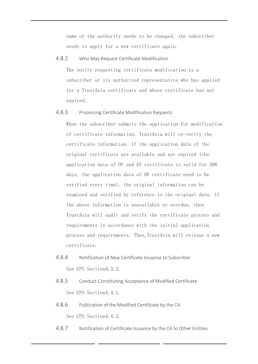name of the authority needs to be changed, the subscriber needs to apply for a new certificate again.

#### 4.8.2 Who May Request Certificate Modification

The entity requesting certificate modification is a subscriber or its authorized representative who has applied for a TrustAsia certificate and whose certificate has not expired.

#### 4.8.3 Processing Certificate Modification Requests

When the subscriber submits the application for modification of certificate information, TrustAsia will re-verify the certificate information. If the application data of the original certificate are available and not expired (the application data of OV and EV certificate is valid for 398 days, the application data of DV certificate need to be verified every time), the original information can be examined and verified by reference to the original data. If the above information is unavailable or overdue, then TrustAsia will audit and verify the certificate process and requirements in accordance with the initial application process and requirements. Then,TrustAsia will reissue a new certificate.

- 4.8.4 Notification of New Certificate Issuance to Subscriber See CPS Section4.3.2.
- 4.8.5 Conduct Constituting Acceptance of Modified Certificate See CPS Section4.4.1.
- 4.8.6 Publication of the Modified Certificate by the CA See CPS Section4.4.2.
- 4.8.7 Notification of Certificate Issuance by the CA to Other Entities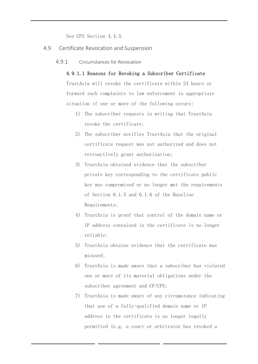See CPS Section 4.4.3.

- 4.9 Certificate Revocation and Suspension
	- 4.9.1 Circumstances for Revocation

#### 4.9.1.1 Reasons for Revoking a Subscriber Certificate

TrustAsia will revoke the certificate within 24 hours or forward such complaints to law enforcement in appropriate situation if one or more of the following occurs:

- 1) The subscriber requests in writing that TrustAsia revoke the certificate;
- 2) The subscriber notifies TrustAsia that the original certificate request was not authorized and does not retroactively grant authorization;
- 3) TrustAsia obtained evidence that the subscriber private key corresponding to the certificate public key was compromised or no longer met the requirements of Section 6.1.5 and 6.1.6 of the Baseline Requirements;
- 4) TrustAsia is proof that control of the domain name or IP address contained in the certificate is no longer reliable;
- 5) TrustAsia obtains evidence that the certificate was misused;
- 6) TrustAsia is made aware that a subscriber has violated one or more of its material obligations under the subscriber agreement and CP/CPS;
- 7) TrustAsia is made aware of any circumstance indicating that use of a fully-qualified domain name or IP address in the certificate is no longer legally permitted (e.g. a court or arbitrator has revoked a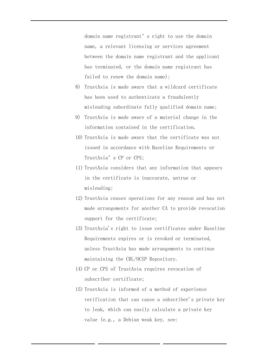domain name registrant's right to use the domain name, a relevant licensing or services agreement between the domain name registrant and the applicant has terminated, or the domain name registrant has failed to renew the domain name);

- 8) TrustAsia is made aware that a wildcard certificate has been used to authenticate a fraudulently misleading subordinate fully qualified domain name;
- 9) TrustAsia is made aware of a material change in the information contained in the certification.
- 10) TrustAsia is made aware that the certificate was not issued in accordance with Baseline Requirements or TrustAsia's CP or CPS;
- 11) TrustAsia considers that any information that appears in the certificate is inaccurate, untrue or misleading;
- 12) TrustAsia ceases operations for any reason and has not made arrangements for another CA to provide revocation support for the certificate;
- 13) TrustAsia's right to issue certificates under Baseline Requirements expires or is revoked or terminated, unless TrustAsia has made arrangements to continue maintaining the CRL/OCSP Repository.
- 14) CP or CPS of TrustAsia requires revocation of subscriber certificate;
- 15) TrustAsia is informed of a method of experience verification that can cause a subscriber's private key to leak, which can easily calculate a private key value (e.g., a Debian weak key, see: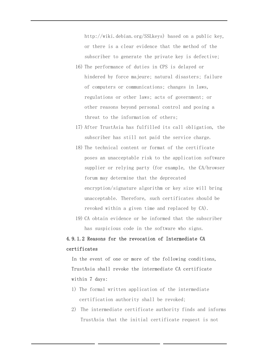http://wiki.debian.org/SSLkeys) based on a public key, or there is a clear evidence that the method of the subscriber to generate the private key is defective;

- 16) The performance of duties in CPS is delayed or hindered by force majeure; natural disasters; failure of computers or communications; changes in laws, regulations or other laws; acts of government; or other reasons beyond personal control and posing a threat to the information of others;
- 17) After TrustAsia has fulfilled its call obligation, the subscriber has still not paid the service charge.
- 18) The technical content or format of the certificate poses an unacceptable risk to the application software supplier or relying party (for example, the CA/browser forum may determine that the deprecated encryption/signature algorithm or key size will bring unacceptable. Therefore, such certificates should be revoked within a given time and replaced by CA).
- 19) CA obtain evidence or be informed that the subscriber has suspicious code in the software who signs.

# 4.9.1.2 Reasons for the revocation of Intermediate CA certificates

In the event of one or more of the following conditions, TrustAsia shall revoke the intermediate CA certificate within 7 days:

- 1) The formal written application of the intermediate certification authority shall be revoked;
- 2) The intermediate certificate authority finds and informs TrustAsia that the initial certificate request is not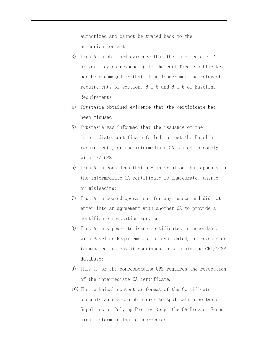authorized and cannot be traced back to the authorization act;

- 3) TrustAsia obtained evidence that the intermediate CA private key corresponding to the certificate public key had been damaged or that it no longer met the relevant requirements of sections 6.1.5 and 6.1.6 of Baseline Requirements;
- 4) TrustAsia obtained evidence that the certificate had been misused;
- 5) TrustAsia was informed that the issuance of the intermediate certificate failed to meet the Baseline requirements, or the intermediate CA failed to comply with CP/ CPS;
- 6) TrustAsia considers that any information that appears in the intermediate CA certificate is inaccurate, untrue, or misleading;
- 7) TrustAsia ceased operations for any reason and did not enter into an agreement with another CA to provide a certificate revocation service;
- 8) TrustAsia's power to issue certificates in accordance with Baseline Requirements is invalidated, or revoked or terminated, unless it continues to maintain the CRL/OCSP database;
- 9) This CP or the corresponding CPS requires the revocation of the intermediate CA certificate.
- 10) The technical content or format of the Certificate presents an unacceptable risk to Application Software Suppliers or Relying Parties (e.g. the CA/Browser Forum might determine that a deprecated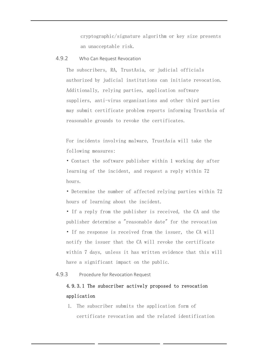cryptographic/signature algorithm or key size presents an unacceptable risk.

4.9.2 Who Can Request Revocation

The subscribers, RA, TrustAsia, or judicial officials authorized by judicial institutions can initiate revocation. Additionally, relying parties, application software suppliers, anti-virus organizations and other third parties may submit certificate problem reports informing TrustAsia of reasonable grounds to revoke the certificates.

For incidents involving malware, TrustAsia will take the following measures:

• Contact the software publisher within 1 working day after learning of the incident, and request a reply within 72 hours.

• Determine the number of affected relying parties within 72 hours of learning about the incident.

• If a reply from the publisher is received, the CA and the publisher determine a "reasonable date" for the revocation

• If no response is received from the issuer, the CA will notify the issuer that the CA will revoke the certificate within 7 days, unless it has written evidence that this will have a significant impact on the public.

4.9.3 Procedure for Revocation Request

# 4.9.3.1 The subscriber actively proposed to revocation application

1. The subscriber submits the application form of certificate revocation and the related identification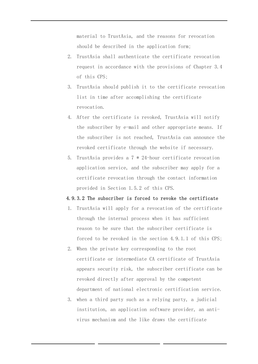material to TrustAsia, and the reasons for revocation should be described in the application form;

- 2. TrustAsia shall authenticate the certificate revocation request in accordance with the provisions of Chapter 3.4 of this CPS;
- 3. TrustAsia should publish it to the certificate revocation list in time after accomplishing the certificate revocation.
- 4. After the certificate is revoked, TrustAsia will notify the subscriber by e-mail and other appropriate means. If the subscriber is not reached, TrustAsia can announce the revoked certificate through the website if necessary.
- 5. TrustAsia provides a 7 \* 24-hour certificate revocation application service, and the subscriber may apply for a certificate revocation through the contact information provided in Section 1.5.2 of this CPS.

#### 4.9.3.2 The subscriber is forced to revoke the certificate

- 1. TrustAsia will apply for a revocation of the certificate through the internal process when it has sufficient reason to be sure that the subscriber certificate is forced to be revoked in the section 4.9.1.1 of this CPS;
- 2. When the private key corresponding to the root certificate or intermediate CA certificate of TrustAsia appears security risk, the subscriber certificate can be revoked directly after approval by the competent department of national electronic certification service.
- 3. when a third party such as a relying party, a judicial institution, an application software provider, an antivirus mechanism and the like draws the certificate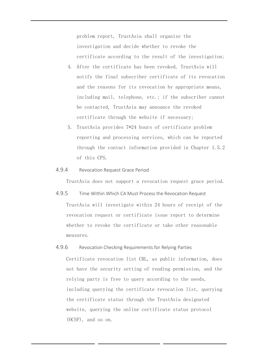problem report, TrustAsia shall organize the investigation and decide whether to revoke the certificate according to the result of the investigation;

- 4. After the certificate has been revoked, TrustAsia will notify the final subscriber certificate of its revocation and the reasons for its revocation by appropriate means, including mail, telephone, etc.; if the subscriber cannot be contacted, TrustAsia may announce the revoked certificate through the website if necessary;
- 5. TrustAsia provides 7\*24 hours of certificate problem reporting and processing services, which can be reported through the contact information provided in Chapter 1.5.2 of this CPS.

#### 4.9.4 Revocation Request Grace Period

TrustAsia does not support a revocation request grace period.

4.9.5 Time Within Which CA Must Process the Revocation Request TrustAsia will investigate within 24 hours of receipt of the revocation request or certificate issue report to determine whether to revoke the certificate or take other reasonable measures.

#### 4.9.6 Revocation Checking Requirements for Relying Parties

Certificate revocation list CRL, as public information, does not have the security setting of reading permission, and the relying party is free to query according to the needs, including querying the certificate revocation list, querying the certificate status through the TrustAsia designated website, querying the online certificate status protocol (OCSP), and so on.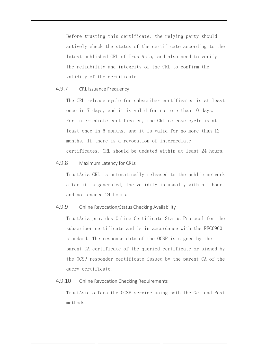Before trusting this certificate, the relying party should actively check the status of the certificate according to the latest published CRL of TrustAsia, and also need to verify the reliability and integrity of the CRL to confirm the validity of the certificate.

#### 4.9.7 CRL Issuance Frequency

The CRL release cycle for subscriber certificates is at least once in 7 days, and it is valid for no more than 10 days. For intermediate certificates, the CRL release cycle is at least once in 6 months, and it is valid for no more than 12 months. If there is a revocation of intermediate certificates, CRL should be updated within at least 24 hours.

#### 4.9.8 Maximum Latency for CRLs

TrustAsia CRL is automatically released to the public network after it is generated, the validity is usually within 1 hour and not exceed 24 hours.

#### 4.9.9 Online Revocation/Status Checking Availability

TrustAsia provides Online Certificate Status Protocol for the subscriber certificate and is in accordance with the RFC6960 standard. The response data of the OCSP is signed by the parent CA certificate of the queried certificate or signed by the OCSP responder certificate issued by the parent CA of the query certificate.

#### 4.9.10 Online Revocation Checking Requirements

TrustAsia offers the OCSP service using both the Get and Post methods.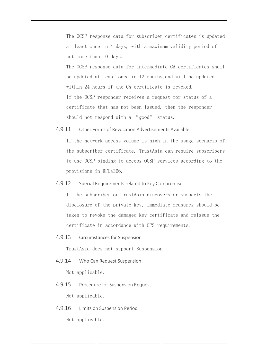The OCSP response data for subscriber certificates is updated at least once in 4 days, with a maximum validity period of not more than 10 days. The OCSP response data for intermediate CA certificates shall be updated at least once in 12 months,and will be updated within 24 hours if the CA certificate is revoked. If the OCSP responder receives a request for status of a certificate that has not been issued, then the responder should not respond with a "good" status.

4.9.11 Other Forms of Revocation Advertisements Available

If the network access volume is high in the usage scenario of the subscriber certificate. TrustAsia can require subscribers to use OCSP binding to access OCSP services according to the provisions in RFC4366.

4.9.12 Special Requirements related to Key Compromise

If the subscriber or TrustAsia discovers or suspects the disclosure of the private key, immediate measures should be taken to revoke the damaged key certificate and reissue the certificate in accordance with CPS requirements.

4.9.13 Circumstances for Suspension

TrustAsia does not support Suspension.

4.9.14 Who Can Request Suspension

Not applicable.

4.9.15 Procedure for Suspension Request

Not applicable.

4.9.16 Limits on Suspension Period

Not applicable.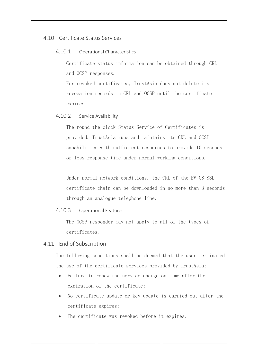# 4.10 Certificate Status Services

#### 4.10.1 Operational Characteristics

Certificate status information can be obtained through CRL and OCSP responses.

For revoked certificates, TrustAsia does not delete its revocation records in CRL and OCSP until the certificate expires.

#### 4.10.2 Service Availability

The round-the-clock Status Service of Certificates is provided. TrustAsia runs and maintains its CRL and OCSP capabilities with sufficient resources to provide 10 seconds or less response time under normal working conditions.

Under normal network conditions, the CRL of the EV CS SSL certificate chain can be downloaded in no more than 3 seconds through an analogue telephone line.

#### 4.10.3 Operational Features

The OCSP responder may not apply to all of the types of certificates.

#### 4.11 End of Subscription

The following conditions shall be deemed that the user terminated the use of the certificate services provided by TrustAsia:

- Failure to renew the service charge on time after the expiration of the certificate;
- No certificate update or key update is carried out after the certificate expires;
- The certificate was revoked before it expires.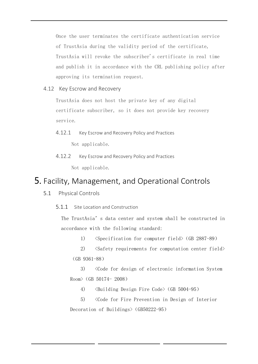Once the user terminates the certificate authentication service of TrustAsia during the validity period of the certificate, TrustAsia will revoke the subscriber's certificate in real time and publish it in accordance with the CRL publishing policy after approving its termination request.

4.12 Key Escrow and Recovery

TrustAsia does not host the private key of any digital certificate subscriber, so it does not provide key recovery service.

4.12.1 Key Escrow and Recovery Policy and Practices

Not applicable.

4.12.2 Key Escrow and Recovery Policy and Practices Not applicable.

# 5. Facility, Management, and Operational Controls

- 5.1 Physical Controls
	- 5.1.1 Site Location and Construction

The TrustAsia's data center and system shall be constructed in accordance with the following standard:

1) <Specification for computer field>(GB 2887-89)

2) <Safety requirements for computation center field> (GB 9361-88)

3) <Code for design of electronic information System Room>(GB 50174- 2008)

4) <Building Design Fire Code>(GB 5004-95)

5) <Code for Fire Prevention in Design of Interior Decoration of Buildings> (GB50222-95)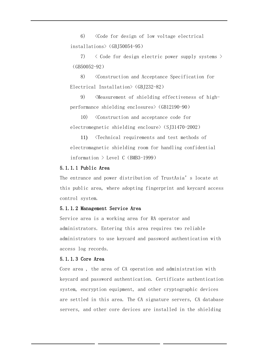6) <Code for design of low voltage electrical installations>(GBJ50054-95)

7) < Code for design electric power supply systems > (GB50052-92)

8) <Construction and Acceptance Specification for Electrical Installation> (GBJ232-82)

9) <Measurement of shielding effectiveness of highperformance shielding enclosures>(GB12190-90)

10) <Construction and acceptance code for electromegnetic shielding encloure> (SJ31470-2002)

11) <Technical requirements and test methods of electromagnetic shielding room for handling confidential information  $\geq$  Level C (BMB3-1999)

### 5.1.1.1 Public Area

The entrance and power distribution of TrustAsia's locate at this public area, where adopting fingerprint and keycard access control system.

#### 5.1.1.2 Management Service Area

Service area is a working area for RA operator and administrators. Entering this area requires two reliable administrators to use keycard and password authentication with access log records.

#### 5.1.1.3 Core Area

Core area , the area of CA operation and administration with keycard and password authentication. Certificate authentication system, encryption equipment, and other cryptographic devices are settled in this area. The CA signature servers, CA database servers, and other core devices are installed in the shielding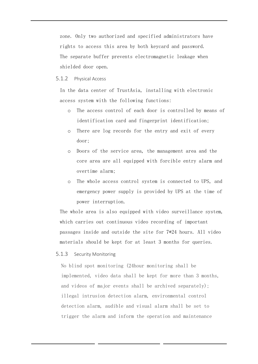zone. Only two authorized and specified administrators have rights to access this area by both keycard and password. The separate buffer prevents electromagnetic leakage when shielded door open.

#### 5.1.2 Physical Access

In the data center of TrustAsia, installing with electronic access system with the following functions:

- o The access control of each door is controlled by means of identification card and fingerprint identification;
- o There are log records for the entry and exit of every door;
- o Doors of the service area, the management area and the core area are all equipped with forcible entry alarm and overtime alarm;
- o The whole access control system is connected to UPS, and emergency power supply is provided by UPS at the time of power interruption.

The whole area is also equipped with video surveillance system, which carries out continuous video recording of important passages inside and outside the site for 7\*24 hours. All video materials should be kept for at least 3 months for queries.

5.1.3 Security Monitoring

No blind spot monitoring (24hour monitoring shall be implemented, video data shall be kept for more than 3 months, and videos of major events shall be archived separately); illegal intrusion detection alarm, environmental control detection alarm, audible and visual alarm shall be set to trigger the alarm and inform the operation and maintenance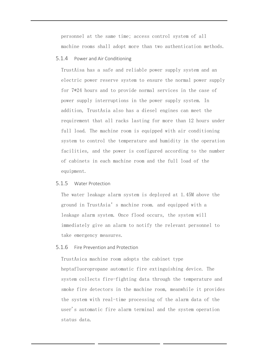personnel at the same time; access control system of all machine rooms shall adopt more than two authentication methods.

5.1.4 Power and Air Conditioning

TrustAisa has a safe and reliable power supply system and an electric power reserve system to ensure the normal power supply for 7\*24 hours and to provide normal services in the case of power supply interruptions in the power supply system. In addition, TrustAsia also has a diesel engines can meet the requirement that all racks lasting for more than 12 hours under full load. The machine room is equipped with air conditioning system to control the temperature and humidity in the operation facilities, and the power is configured according to the number of cabinets in each machine room and the full load of the equipment.

5.1.5 Water Protection

The water leakage alarm system is deployed at 1.45M above the ground in TrustAsia's machine room. and equipped with a leakage alarm system. Once flood occurs, the system will immediately give an alarm to notify the relevant personnel to take emergency measures.

5.1.6 Fire Prevention and Protection

TrustAsica machine room adopts the cabinet type heptafluoropropane automatic fire extinguishing device. The system collects fire-fighting data through the temperature and smoke fire detectors in the machine room, meanwhile it provides the system with real-time processing of the alarm data of the user's automatic fire alarm terminal and the system operation status data.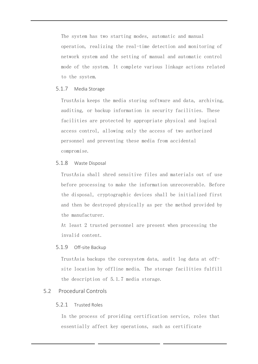The system has two starting modes, automatic and manual operation, realizing the real-time detection and monitoring of network system and the setting of manual and automatic control mode of the system. It complete various linkage actions related to the system.

## 5.1.7 Media Storage

TrustAsia keeps the media storing software and data, archiving, auditing, or backup information in security facilities. These facilities are protected by appropriate physical and logical access control, allowing only the access of two authorized personnel and preventing these media from accidental compromise.

# 5.1.8 Waste Disposal

TrustAsia shall shred sensitive files and materials out of use before processing to make the information unrecoverable. Before the disposal, cryptographic devices shall be initialized first and then be destroyed physically as per the method provided by the manufacturer.

At least 2 trusted personnel are present when processing the invalid content.

# 5.1.9 Off-site Backup

TrustAsia backups the coresystem data, audit log data at offsite location by offline media. The storage facilities fulfill the description of 5.1.7 media storage.

# 5.2 Procedural Controls

# 5.2.1 Trusted Roles

In the process of providing certification service, roles that essentially affect key operations, such as certificate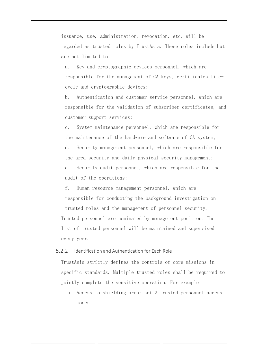issuance, use, administration, revocation, etc. will be regarded as trusted roles by TrustAsia. These roles include but are not limited to:

a. Key and cryptographic devices personnel, which are responsible for the management of CA keys, certificates lifecycle and cryptographic devices;

b. Authentication and customer service personnel, which are responsible for the validation of subscriber certificates, and customer support services;

c. System maintenance personnel, which are responsible for the maintenance of the hardware and software of CA system; d. Security management personnel, which are responsible for the area security and daily physical security management; e. Security audit personnel, which are responsible for the audit of the operations;

f. Human resource management personnel, which are responsible for conducting the background investigation on trusted roles and the management of personnel security. Trusted personnel are nominated by management position. The list of trusted personnel will be maintained and supervised every year.

#### 5.2.2 Identification and Authentication for Each Role

TrustAsia strictly defines the controls of core missions in specific standards. Multiple trusted roles shall be required to jointly complete the sensitive operation. For example:

a. Access to shielding area: set 2 trusted personnel access modes;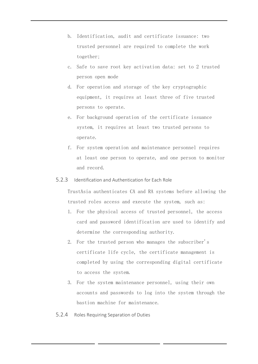- b. Identification, audit and certificate issuance: two trusted personnel are required to complete the work together;
- c. Safe to save root key activation data: set to 2 trusted person open mode
- d. For operation and storage of the key cryptographic equipment, it requires at least three of five trusted persons to operate.
- e. For background operation of the certificate issuance system, it requires at least two trusted persons to operate.
- f. For system operation and maintenance personnel requires at least one person to operate, and one person to monitor and record.

# 5.2.3 Identification and Authentication for Each Role

TrustAsia authenticates CA and RA systems before allowing the trusted roles access and execute the system, such as:

- 1. For the physical access of trusted personnel, the access card and password identification are used to identify and determine the corresponding authority.
- 2. For the trusted person who manages the subscriber's certificate life cycle, the certificate management is completed by using the corresponding digital certificate to access the system.
- 3. For the system maintenance personnel, using their own accounts and passwords to log into the system through the bastion machine for maintenance.
- 5.2.4 Roles Requiring Separation of Duties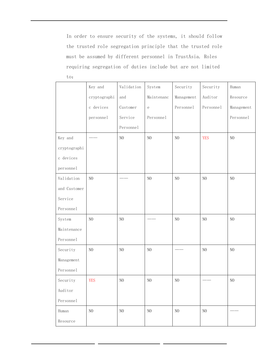In order to ensure security of the systems, it should follow the trusted role segregation principle that the trusted role must be assumed by different personnel in TrustAsia. Roles requiring segregation of duties include but are not limited

to:

|              | Key and        | Validation     | System         | Security       | Security       | Human          |
|--------------|----------------|----------------|----------------|----------------|----------------|----------------|
|              | cryptographi   | and            | Maintenanc     | Management     | Auditor        | Resource       |
|              | c devices      | Customer       | $\rm e$        | Personnel      | Personnel      | Management     |
|              | personnel      | Service        | Personnel      |                |                | Personnel      |
|              |                | Personnel      |                |                |                |                |
| Key and      |                | $\rm NO$       | N <sub>O</sub> | $\rm NO$       | <b>YES</b>     | N <sub>O</sub> |
| cryptographi |                |                |                |                |                |                |
| c devices    |                |                |                |                |                |                |
| personnel    |                |                |                |                |                |                |
| Validation   | $\rm NO$       |                | N <sub>0</sub> | $\rm NO$       | N <sub>0</sub> | N <sub>O</sub> |
| and Customer |                |                |                |                |                |                |
| Service      |                |                |                |                |                |                |
| Personnel    |                |                |                |                |                |                |
| System       | N <sub>O</sub> | NO             |                | N <sub>0</sub> | $\rm NO$       | N <sub>O</sub> |
| Maintenance  |                |                |                |                |                |                |
| Personnel    |                |                |                |                |                |                |
| Security     | $\rm NO$       | $\rm NO$       | N <sub>0</sub> |                | $\rm NO$       | N <sub>O</sub> |
| Management   |                |                |                |                |                |                |
| Personnel    |                |                |                |                |                |                |
| Security     | <b>YES</b>     | N <sub>O</sub> | N <sub>O</sub> | $\rm NO$       |                | N <sub>O</sub> |
| Auditor      |                |                |                |                |                |                |
| Personnel    |                |                |                |                |                |                |
| Human        | N <sub>0</sub> | $\rm NO$       | $\rm NO$       | $\rm NO$       | N <sub>0</sub> |                |
| Resource     |                |                |                |                |                |                |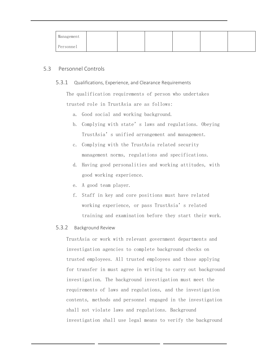| Management |  |  |  |
|------------|--|--|--|
| Personnel  |  |  |  |

# 5.3 Personnel Controls

# 5.3.1 Qualifications, Experience, and Clearance Requirements

The qualification requirements of person who undertakes trusted role in TrustAsia are as follows:

- a. Good social and working background.
- b. Complying with state's laws and regulations. Obeying TrustAsia's unified arrangement and management.
- c. Complying with the TrustAsia related security management norms, regulations and specifications.
- d. Having good personalities and working attitudes, with good working experience.
- e. A good team player.
- f. Staff in key and core positions must have related working experience, or pass TrustAsia's related training and examination before they start their work.

# 5.3.2 Background Review

TrustAsia or work with relevant government departments and investigation agencies to complete background checks on trusted employees. All trusted employees and those applying for transfer in must agree in writing to carry out background investigation. The background investigation must meet the requirements of laws and regulations, and the investigation contents, methods and personnel engaged in the investigation shall not violate laws and regulations. Background investigation shall use legal means to verify the background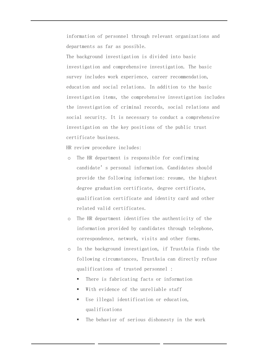information of personnel through relevant organizations and departments as far as possible.

The background investigation is divided into basic investigation and comprehensive investigation. The basic survey includes work experience, career recommendation, education and social relations. In addition to the basic investigation items, the comprehensive investigation includes the investigation of criminal records, social relations and social security. It is necessary to conduct a comprehensive investigation on the key positions of the public trust certificate business.

HR review procedure includes:

- o The HR department is responsible for confirming candidate's personal information. Candidates should provide the following information: resume, the highest degree graduation certificate, degree certificate, qualification certificate and identity card and other related valid certificates.
- o The HR department identifies the authenticity of the information provided by candidates through telephone, correspondence, network, visits and other forms.
- o In the background investigation, if TrustAsia finds the following circumstances, TrustAsia can directly refuse qualifications of trusted personnel :
	- There is fabricating facts or information
	- With evidence of the unreliable staff
	- Use illegal identification or education, qualifications
	- The behavior of serious dishonesty in the work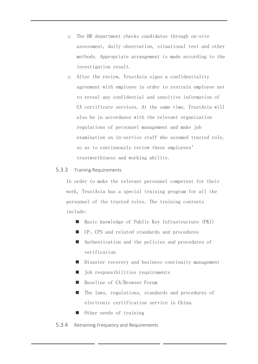- o The HR department checks candidates through on-site assessment, daily observation, situational test and other methods. Appropriate arrangement is made according to the investigation result.
- o After the review, TrustAsia signs a confidentiality agreement with employee in order to restrain employee not to reveal any confidential and sensitive information of CA certificate services. At the same time, TrustAsia will also be in accordance with the relevant organization regulations of personnel management and make job examination on in-service staff who assumed trusted role, so as to continuously review these employees' trustworthiness and working ability.

# 5.3.3 Training Requirements

In order to make the relevant personnel competent for their work, TrustAsia has a special training program for all the personnel of the trusted roles. The training contents include:

- Basic knowledge of Public Key Infrastructure (PKI)
- CP, CPS and related standards and procedures
- Authentication and the policies and procedures of verification
- Disaster recovery and business continuity management
- Job responsibilities requirements
- Baseline of CA/Browser Forum
- The laws, regulations, standards and procedures of electronic certification service in China.
- Other needs of training

# 5.3.4 Retraining Frequency and Requirements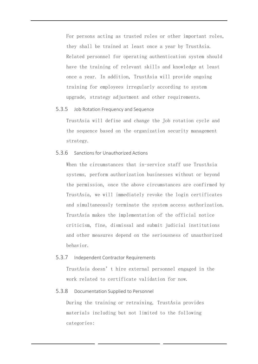For persons acting as trusted roles or other important roles, they shall be trained at least once a year by TrustAsia. Related personnel for operating authentication system should have the training of relevant skills and knowledge at least once a year. In addition, TrustAsia will provide ongoing training for employees irregularly according to system upgrade, strategy adjustment and other requirements.

#### 5.3.5 Job Rotation Frequency and Sequence

TrustAsia will define and change the Job rotation cycle and the sequence based on the organization security management strategy.

#### 5.3.6 Sanctions for Unauthorized Actions

When the circumstances that in-service staff use TrustAsia systems, perform authorization businesses without or beyond the permission, once the above circumstances are confirmed by TrustAsia, we will immediately revoke the login certificates and simultaneously terminate the system access authorization. TrustAsia makes the implementation of the official notice criticism, fine, dismissal and submit judicial institutions and other measures depend on the seriousness of unauthorized behavior.

#### 5.3.7 Independent Contractor Requirements

TrustAsia doesn't hire external personnel engaged in the work related to certificate validation for now.

#### 5.3.8 Documentation Supplied to Personnel

During the training or retraining, TrustAsia provides materials including but not limited to the following categories: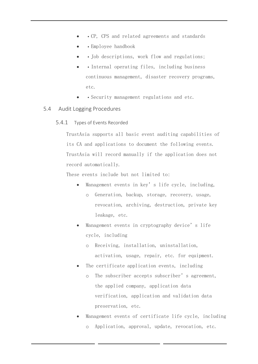- CP, CPS and related agreements and standards
- Employee handbook
- Job descriptions, work flow and regulations;
- Internal operating files, including business continuous management, disaster recovery programs, etc.
- Security management regulations and etc.
- 5.4 Audit Logging Procedures
	- 5.4.1 Types of Events Recorded

TrustAsia supports all basic event auditing capabilities of its CA and applications to document the following events. TrustAsia will record manually if the application does not record automatically.

These events include but not limited to:

- Management events in key's life cycle, including, o Generation, backup, storage, recovery, usage, revocation, archiving, destruction, private key leakage, etc.
- Management events in cryptography device's life cycle, including
	- o Receiving, installation, uninstallation, activation, usage, repair, etc. for equipment.
- The certificate application events, including
	- o The subscriber accepts subscriber's agreement, the applied company, application data verification, application and validation data preservation, etc.
- Management events of certificate life cycle, including o Application, approval, update, revocation, etc.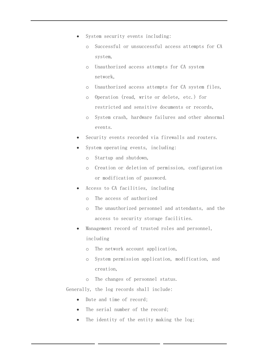- System security events including:
	- o Successful or unsuccessful access attempts for CA system,
	- o Unauthorized access attempts for CA system network,
	- o Unauthorized access attempts for CA system files,
	- o Operation (read, write or delete, etc.) for restricted and sensitive documents or records,
	- o System crash, hardware failures and other abnormal events.
- Security events recorded via firewalls and routers.
- System operating events, including:
	- o Startup and shutdown,
	- o Creation or deletion of permission, configuration or modification of password.
- Access to CA facilities, including
	- o The access of authorized
	- o The unauthorized personnel and attendants, and the access to security storage facilities.
- Management record of trusted roles and personnel, including
	- o The network account application,
	- o System permission application, modification, and creation,
	- o The changes of personnel status.

Generally, the log records shall include:

- Date and time of record;
- The serial number of the record;
- The identity of the entity making the log;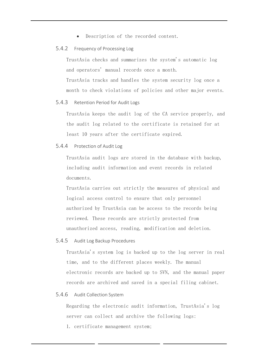• Description of the recorded content.

### 5.4.2 Frequency of Processing Log

TrustAsia checks and summarizes the system's automatic log and operators' manual records once a month.

TrustAsia tracks and handles the system security log once a month to check violations of policies and other major events.

### 5.4.3 Retention Period for Audit Logs

TrustAsia keeps the audit log of the CA service properly, and the audit log related to the certificate is retained for at least 10 years after the certificate expired.

#### 5.4.4 Protection of Audit Log

TrustAsia audit logs are stored in the database with backup, including audit information and event records in related documents.

TrustAsia carries out strictly the measures of physical and logical access control to ensure that only personnel authorized by TrustAsia can be access to the records being reviewed. These records are strictly protected from unauthorized access, reading, modification and deletion.

# 5.4.5 Audit Log Backup Procedures

TrustAsia's system log is backed up to the log server in real time, and to the different places weekly. The manual electronic records are backed up to SVN, and the manual paper records are archived and saved in a special filing cabinet.

#### 5.4.6 Audit Collection System

Regarding the electronic audit information, TrustAsia's log server can collect and archive the following logs:

1. certificate management system;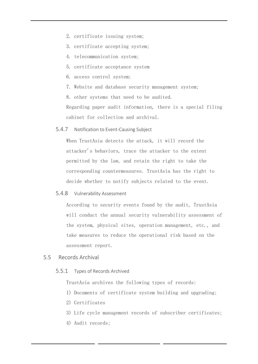- 2. certificate issuing system;
- 3. certificate accepting system;
- 4. telecommunication system;
- 5. certificate acceptance system
- 6. access control system;
- 7. Website and database security management system;
- 8. other systems that need to be audited.

Regarding paper audit information, there is a special filing cabinet for collection and archival.

5.4.7 Notification to Event-Causing Subject

When TrustAsia detects the attack, it will record the attacker's behaviors, trace the attacker to the extent permitted by the law, and retain the right to take the corresponding countermeasures. TrustAsia has the right to decide whether to notify subjects related to the event.

### 5.4.8 Vulnerability Assessment

According to security events found by the audit, TrustAsia will conduct the annual security vulnerability assessment of the system, physical sites, operation management, etc., and take measures to reduce the operational risk based on the assessment report.

### 5.5 Records Archival

5.5.1 Types of Records Archived

TrustAsia archives the following types of records:

- 1) Documents of certificate system building and upgrading;
- 2) Certificates
- 3) Life cycle management records of subscriber certificates;
- 4) Audit records;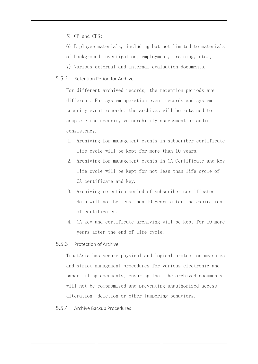- 5) CP and CPS;
- 6) Employee materials, including but not limited to materials
- of background investigation, employment, training, etc.;
- 7) Various external and internal evaluation documents.

# 5.5.2 Retention Period for Archive

For different archived records, the retention periods are different. For system operation event records and system security event records, the archives will be retained to complete the security vulnerability assessment or audit consistency.

- 1. Archiving for management events in subscriber certificate life cycle will be kept for more than 10 years.
- 2. Archiving for management events in CA Certificate and key life cycle will be kept for not less than life cycle of CA certificate and key.
- 3. Archiving retention period of subscriber certificates data will not be less than 10 years after the expiration of certificates.
- 4. CA key and certificate archiving will be kept for 10 more years after the end of life cycle.

# 5.5.3 Protection of Archive

TrustAsia has secure physical and logical protection measures and strict management procedures for various electronic and paper filing documents, ensuring that the archived documents will not be compromised and preventing unauthorized access, alteration, deletion or other tampering behaviors.

#### 5.5.4 Archive Backup Procedures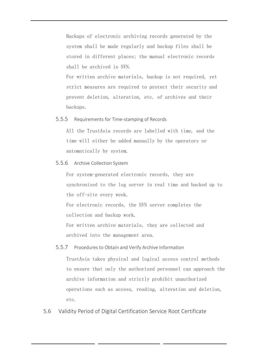Backups of electronic archiving records generated by the system shall be made regularly and backup files shall be stored in different places; the manual electronic records shall be archived in SVN.

For written archive materials, backup is not required, yet strict measures are required to protect their security and prevent deletion, alteration, etc. of archives and their backups.

# 5.5.5 Requirements for Time-stamping of Records

All the TrustAsia records are labelled with time, and the time will either be added manually by the operators or automatically by system.

5.5.6 Archive Collection System

For system-generated electronic records, they are synchronized to the log server in real time and backed up to the off-site every week.

For electronic records, the SVN server completes the collection and backup work.

For written archive materials, they are collected and archived into the management area.

#### 5.5.7 Procedures to Obtain and Verify Archive Information

TrustAsia takes physical and logical access control methods to ensure that only the authorized personnel can approach the archive information and strictly prohibit unauthorized operations such as access, reading, alteration and deletion, etc.

5.6 Validity Period of Digital Certification Service Root Certificate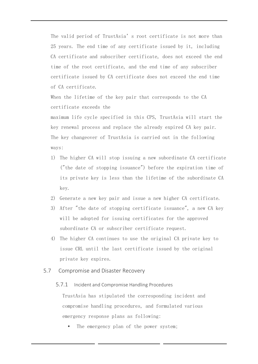The valid period of TrustAsia's root certificate is not more than 25 years. The end time of any certificate issued by it, including CA certificate and subscriber certificate, does not exceed the end time of the root certificate, and the end time of any subscriber certificate issued by CA certificate does not exceed the end time of CA certificate.

When the lifetime of the key pair that corresponds to the CA certificate exceeds the

maximum life cycle specified in this CPS, TrustAsia will start the key renewal process and replace the already expired CA key pair. The key changeover of TrustAsia is carried out in the following ways:

- 1) The higher CA will stop issuing a new subordinate CA certificate ("the date of stopping issuance") before the expiration time of its private key is less than the lifetime of the subordinate CA key.
- 2) Generate a new key pair and issue a new higher CA certificate.
- 3) After "the date of stopping certificate issuance", a new CA key will be adopted for issuing certificates for the approved subordinate CA or subscriber certificate request.
- 4) The higher CA continues to use the original CA private key to issue CRL until the last certificate issued by the original private key expires.
- 5.7 Compromise and Disaster Recovery

#### 5.7.1 Incident and Compromise Handling Procedures

TrustAsia has stipulated the corresponding incident and compromise handling procedures, and formulated various emergency response plans as following:

The emergency plan of the power system;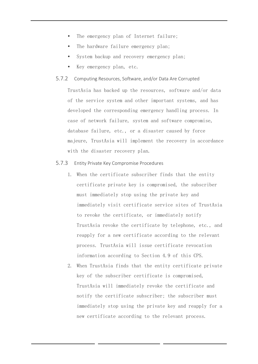- The emergency plan of Internet failure;
- The hardware failure emergency plan;
- System backup and recovery emergency plan;
- Key emergency plan, etc.

#### 5.7.2 Computing Resources, Software, and/or Data Are Corrupted

TrustAsia has backed up the resources, software and/or data of the service system and other important systems, and has developed the corresponding emergency handling process. In case of network failure, system and software compromise, database failure, etc., or a disaster caused by force majeure, TrustAsia will implement the recovery in accordance with the disaster recovery plan.

#### 5.7.3 Entity Private Key Compromise Procedures

- 1. When the certificate subscriber finds that the entity certificate private key is compromised, the subscriber must immediately stop using the private key and immediately visit certificate service sites of TrustAsia to revoke the certificate, or immediately notify TrustAsia revoke the certificate by telephone, etc., and reapply for a new certificate according to the relevant process. TrustAsia will issue certificate revocation information according to Section 4.9 of this CPS.
- 2. When TrustAsia finds that the entity certificate private key of the subscriber certificate is compromised, TrustAsia will immediately revoke the certificate and notify the certificate subscriber; the subscriber must immediately stop using the private key and reapply for a new certificate according to the relevant process.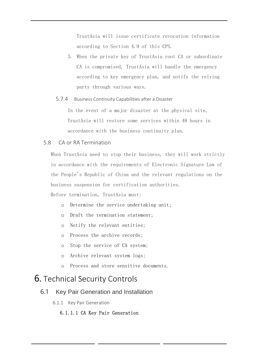TrustAsia will issue certificate revocation information according to Section 4.9 of this CPS.

3. When the private key of TrustAsia root CA or subordinate CA is compromised, TrustAsia will handle the emergency according to key emergency plan, and notify the relying party through various ways.

# 5.7.4 Business Continuity Capabilities after a Disaster

In the event of a major disaster at the physical site, TrustAsia will restore some services within 48 hours in accordance with the business continuity plan.

# 5.8 CA or RA Termination

When TrustAsia need to stop their business, they will work strictly in accordance with the requirements of Electronic Signature Law of the People's Republic of China and the relevant regulations on the business suspension for certification authorities.

Before termination, TrustAsia must:

- o Determine the service undertaking unit;
- o Draft the termination statement;
- o Notify the relevant entities;
- o Process the archive records;
- o Stop the service of CA system;
- o Archive relevant system logs;
- o Process and store sensitive documents.

# 6. Technical Security Controls

# 6.1 Key Pair Generation and Installation

6.1.1 Key Pair Generation

# 6.1.1.1 CA Key Pair Generation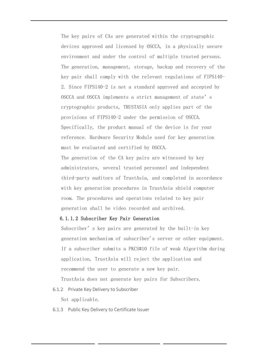The key pairs of CAs are generated within the cryptographic devices approved and licensed by OSCCA, in a physically secure environment and under the control of multiple trusted persons. The generation, management, storage, backup and recovery of the key pair shall comply with the relevant regulations of FIPS140- 2. Since FIPS140-2 is not a standard approved and accepted by OSCCA and OSCCA implements a strict management of state's cryptographic products, TRUSTASIA only applies part of the provisions of FIPS140-2 under the permission of OSCCA. Specifically, the product manual of the device is for your reference. Hardware Security Module used for key generation must be evaluated and certified by OSCCA.

The generation of the CA key pairs are witnessed by key administrators, several trusted personnel and independent third-party auditors of TrustAsia, and completed in accordance with key generation procedures in TrustAsia shield computer room. The procedures and operations related to key pair generation shall be video recorded and archived.

# 6.1.1.2 Subscriber Key Pair Generation

Subscriber's key pairs are generated by the built-in key generation mechanism of subscriber's server or other equipment. If a subscriber submits a PKCS#10 file of weak Algorithm during application, TrustAsia will reject the application and recommend the user to generate a new key pair. TrustAsia does not generate key pairs for Subscribers.

6.1.2 Private Key Delivery to Subscriber

Not applicable.

6.1.3 Public Key Delivery to Certificate Issuer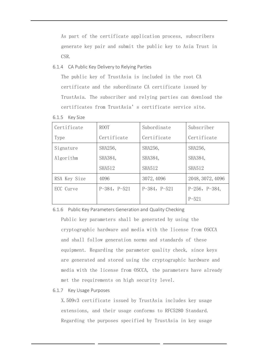As part of the certificate application process, subscribers generate key pair and submit the public key to Asia Trust in CSR.

6.1.4 CA Public Key Delivery to Relying Parties

The public key of TrustAsia is included in the root CA certificate and the subordinate CA certificate issued by TrustAsia. The subscriber and relying parties can download the certificates from TrustAsia's certificate service site.

6.1.5 Key Size

| Certificate  | ROOT           | Subordinate    | Subscriber          |
|--------------|----------------|----------------|---------------------|
| Type         | Certificate    | Certificate    | Certificate         |
| Signature    | SHA256,        | SHA256,        | SHA256,             |
| Algorithm    | SHA384,        | SHA384,        | SHA384,             |
|              | <b>SHA512</b>  | <b>SHA512</b>  | <b>SHA512</b>       |
| RSA Key Size | 4096           | 3072, 4096     | 2048, 3072, 4096    |
| ECC Curve    | $P-384, P-521$ | $P-384, P-521$ | $P-256$ , $P-384$ , |
|              |                |                | $P - 521$           |

6.1.6 Public Key Parameters Generation and Quality Checking

Public key parameters shall be generated by using the cryptographic hardware and media with the license from OSCCA and shall follow generation norms and standards of these equipment. Regarding the parameter quality check, since keys are generated and stored using the cryptographic hardware and media with the license from OSCCA, the parameters have already met the requirements on high security level.

# 6.1.7 Key Usage Purposes

X.509v3 certificate issued by TrustAsia includes key usage extensions, and their usage conforms to RFC5280 Standard. Regarding the purposes specified by TrustAsia in key usage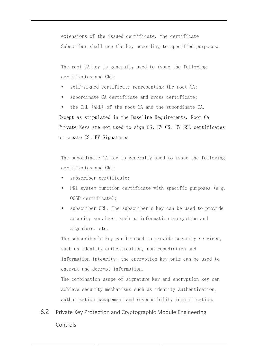extensions of the issued certificate, the certificate Subscriber shall use the key according to specified purposes.

The root CA key is generally used to issue the following certificates and CRL:

- self-signed certificate representing the root CA;
- subordinate CA certificate and cross certificate;

 the CRL (ARL) of the root CA and the subordinate CA. Except as stipulated in the Baseline Requirements, Root CA Private Keys are not used to sign CS、EV CS、EV SSL certificates or create CS、EV Signatures

The subordinate CA key is generally used to issue the following certificates and CRL:

- subscriber certificate;
- PKI system function certificate with specific purposes (e.g. OCSP certificate);
- subscriber CRL. The subscriber's key can be used to provide security services, such as information encryption and signature, etc.

The subscriber's key can be used to provide security services, such as identity authentication, non repudiation and information integrity; the encryption key pair can be used to encrypt and decrypt information.

The combination usage of signature key and encryption key can achieve security mechanisms such as identity authentication, authorization management and responsibility identification.

6.2 Private Key Protection and Cryptographic Module Engineering Controls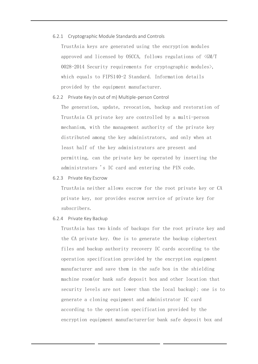6.2.1 Cryptographic Module Standards and Controls

TrustAsia keys are generated using the encryption modules approved and licensed by OSCCA, follows regulations of <GM/T  $0028-2014$  Security requirements for cryptographic modules), which equals to FIPS140-2 Standard. Information details provided by the equipment manufacturer.

6.2.2 Private Key (n out of m) Multiple-person Control

The generation, update, revocation, backup and restoration of TrustAsia CA private key are controlled by a multi-person mechanism, with the management authority of the private key distributed among the key administrators, and only when at least half of the key administrators are present and permitting, can the private key be operated by inserting the administrators 's IC card and entering the PIN code.

6.2.3 Private Key Escrow

TrustAsia neither allows escrow for the root private key or CA private key, nor provides escrow service of private key for subscribers.

6.2.4 Private Key Backup

TrustAsia has two kinds of backups for the root private key and the CA private key. One is to generate the backup ciphertext files and backup authority recovery IC cards according to the operation specification provided by the encryption equipment manufacturer and save them in the safe box in the shielding machine room(or bank safe deposit box and other location that security levels are not lower than the local backup); one is to generate a cloning equipment and administrator IC card according to the operation specification provided by the encryption equipment manufacturer(or bank safe deposit box and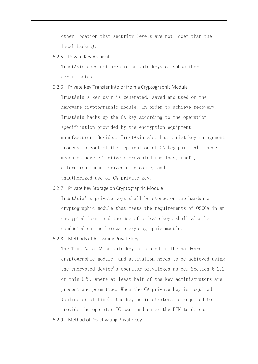other location that security levels are not lower than the local backup).

6.2.5 Private Key Archival

TrustAsia does not archive private keys of subscriber certificates.

- 6.2.6 Private Key Transfer into or from a Cryptographic Module TrustAsia's key pair is generated, saved and used on the hardware cryptographic module. In order to achieve recovery, TrustAsia backs up the CA key according to the operation specification provided by the encryption equipment manufacturer. Besides, TrustAsia also has strict key management process to control the replication of CA key pair. All these measures have effectively prevented the loss, theft, alteration, unauthorized disclosure, and unauthorized use of CA private key.
- 6.2.7 Private Key Storage on Cryptographic Module TrustAsia's private keys shall be stored on the hardware cryptographic module that meets the requirements of OSCCA in an encrypted form, and the use of private keys shall also be conducted on the hardware cryptographic module.
- 6.2.8 Methods of Activating Private Key

The TrustAsia CA private key is stored in the hardware cryptographic module, and activation needs to be achieved using the encrypted device's operator privileges as per Section 6.2.2 of this CPS, where at least half of the key administrators are present and permitted. When the CA private key is required (online or offline), the key administrators is required to provide the operator IC card and enter the PIN to do so.

6.2.9 Method of Deactivating Private Key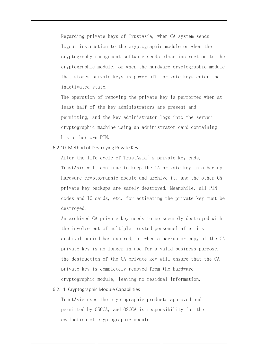Regarding private keys of TrustAsia, when CA system sends logout instruction to the cryptographic module or when the cryptography management software sends close instruction to the cryptographic module, or when the hardware cryptographic module that stores private keys is power off, private keys enter the inactivated state.

The operation of removing the private key is performed when at least half of the key administrators are present and permitting, and the key administrator logs into the server cryptographic machine using an administrator card containing his or her own PIN.

6.2.10 Method of Destroying Private Key

After the life cycle of TrustAsia's private key ends, TrustAsia will continue to keep the CA private key in a backup hardware cryptographic module and archive it, and the other CA private key backups are safely destroyed. Meanwhile, all PIN codes and IC cards, etc. for activating the private key must be destroyed.

An archived CA private key needs to be securely destroyed with the involvement of multiple trusted personnel after its archival period has expired, or when a backup or copy of the CA private key is no longer in use for a valid business purpose. the destruction of the CA private key will ensure that the CA private key is completely removed from the hardware cryptographic module, leaving no residual information.

6.2.11 Cryptographic Module Capabilities

TrustAsia uses the cryptographic products approved and permitted by OSCCA, and OSCCA is responsibility for the evaluation of cryptographic module.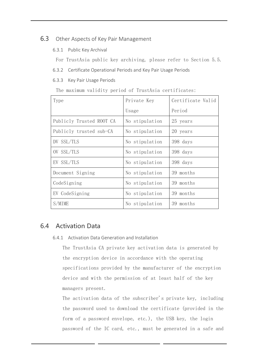# 6.3 Other Aspects of Key Pair Management

- 6.3.1 Public Key Archival
	- For TrustAsia public key archiving, please refer to Section 5.5.
- 6.3.2 Certificate Operational Periods and Key Pair Usage Periods
- 6.3.3 Key Pair Usage Periods

The maximum validity period of TrustAsia certificates:

| Type                     | Private Key    | Certificate Valid |  |
|--------------------------|----------------|-------------------|--|
|                          | Usage          | Period            |  |
| Publicly Trusted ROOT CA | No stipulation | 25 years          |  |
| Publicly trusted sub-CA  | No stipulation | 20 years          |  |
| DV SSL/TLS               | No stipulation | 398 days          |  |
| OV SSL/TLS               | No stipulation | 398 days          |  |
| EV SSL/TLS               | No stipulation | 398 days          |  |
| Document Signing         | No stipulation | 39 months         |  |
| CodeSigning              | No stipulation | 39 months         |  |
| EV CodeSigning           | No stipulation | 39 months         |  |
| S/MIME                   | No stipulation | 39 months         |  |

# 6.4 Activation Data

6.4.1 Activation Data Generation and Installation

The TrustAsia CA private key activation data is generated by the encryption device in accordance with the operating specifications provided by the manufacturer of the encryption device and with the permission of at least half of the key managers present.

The activation data of the subscriber's private key, including the password used to download the certificate (provided in the form of a password envelope, etc.), the USB key, the login password of the IC card, etc., must be generated in a safe and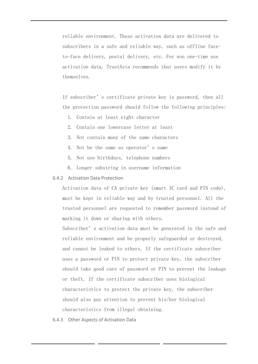reliable environment. These activation data are delivered to subscribers in a safe and reliable way, such as offline faceto-face delivery, postal delivery, etc. For non one-time use activation data, TrustAsia recommends that users modify it by themselves.

If subscriber's certificate private key is password, then all the protection password should follow the following principles:

- 1. Contain at least eight character
- 2. Contain one lowercase letter at least
- 3. Not contain many of the same characters
- 4. Not be the same as operator's name
- 5. Not use birthdays, telephone numbers
- 6. Longer substring in username information

# 6.4.2 Activation Data Protection

Activation data of CA private key (smart IC card and PIN code), must be kept in reliable way and by trusted personnel. All the trusted personnel are requested to remember password instead of marking it down or sharing with others.

Subscriber's activation data must be generated in the safe and reliable environment and be properly safeguarded or destroyed, and cannot be leaked to others. If the certificate subscriber uses a password or PIN to protect private key, the subscriber should take good care of password or PIN to prevent the leakage or theft. If the certificate subscriber uses biological characteristics to protect the private key, the subscriber should also pay attention to prevent his/her biological characteristics from illegal obtaining.

6.4.3 Other Aspects of Activation Data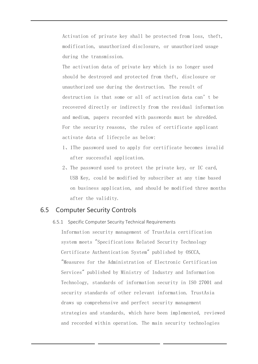Activation of private key shall be protected from loss, theft, modification, unauthorized disclosure, or unauthorized usage during the transmission.

The activation data of private key which is no longer used should be destroyed and protected from theft, disclosure or unauthorized use during the destruction. The result of destruction is that some or all of activation data can't be recovered directly or indirectly from the residual information and medium, papers recorded with passwords must be shredded. For the security reasons, the rules of certificate applicant activate data of lifecycle as below:

- 1、1The password used to apply for certificate becomes invalid after successful application.
- 2、The password used to protect the private key, or IC card, USB Key, could be modified by subscriber at any time based on business application, and should be modified three months after the validity.

# 6.5 Computer Security Controls

6.5.1 Specific Computer Security Technical Requirements Information security management of TrustAsia certification system meets "Specifications Related Security Technology Certificate Authentication System" published by OSCCA, "Measures for the Administration of Electronic Certification Services" published by Ministry of Industry and Information Technology, standards of information security in ISO 27001 and security standards of other relevant information. TrustAsia draws up comprehensive and perfect security management strategies and standards, which have been implemented, reviewed and recorded within operation. The main security technologies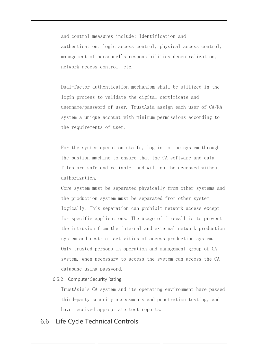and control measures include: Identification and authentication, logic access control, physical access control, management of personnel's responsibilities decentralization, network access control, etc.

Dual-factor authentication mechanism shall be utilized in the login process to validate the digital certificate and username/password of user. TrustAsia assign each user of CA/RA system a unique account with minimum permissions according to the requirements of user.

For the system operation staffs, log in to the system through the bastion machine to ensure that the CA software and data files are safe and reliable, and will not be accessed without authorization.

Core system must be separated physically from other systems and the production system must be separated from other system logically. This separation can prohibit network access except for specific applications. The usage of firewall is to prevent the intrusion from the internal and external network production system and restrict activities of access production system. Only trusted persons in operation and management group of CA system, when necessary to access the system can access the CA database using password.

6.5.2 Computer Security Rating

TrustAsia's CA system and its operating environment have passed third-party security assessments and penetration testing, and have received appropriate test reports.

# 6.6 Life Cycle Technical Controls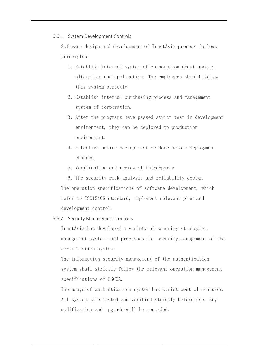6.6.1 System Development Controls

Software design and development of TrustAsia process follows principles:

- 1、Establish internal system of corporation about update, alteration and application. The employees should follow this system strictly.
- 2、Establish internal purchasing process and management system of corporation.
- 3、After the programs have passed strict test in development environment, they can be deployed to production environment.
- 4、Effective online backup must be done before deployment changes.
- 5、Verification and review of third-party

6、The security risk analysis and reliability design The operation specifications of software development, which refer to ISO15408 standard, implement relevant plan and development control.

6.6.2 Security Management Controls

TrustAsia has developed a variety of security strategies, management systems and processes for security management of the certification system.

The information security management of the authentication system shall strictly follow the relevant operation management specifications of OSCCA.

The usage of authentication system has strict control measures. All systems are tested and verified strictly before use. Any modification and upgrade will be recorded.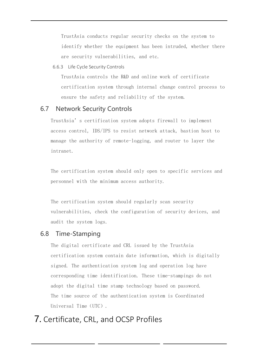TrustAsia conducts regular security checks on the system to identify whether the equipment has been intruded, whether there are security vulnerabilities, and etc.

6.6.3 Life Cycle Security Controls

TrustAsia controls the R&D and online work of certificate certification system through internal change control process to ensure the safety and reliability of the system.

# 6.7 Network Security Controls

TrustAsia's certification system adopts firewall to implement access control, IDS/IPS to resist network attack, bastion host to manage the authority of remote-logging, and router to layer the intranet.

The certification system should only open to specific services and personnel with the minimum access authority.

The certification system should regularly scan security vulnerabilities, check the configuration of security devices, and audit the system logs.

# 6.8 Time-Stamping

The digital certificate and CRL issued by the TrustAsia certification system contain date information, which is digitally signed. The authentication system log and operation log have corresponding time identification. These time-stampings do not adopt the digital time stamp technology based on password. The time source of the authentication system is Coordinated Universal Time (UTC).

# 7. Certificate, CRL, and OCSP Profiles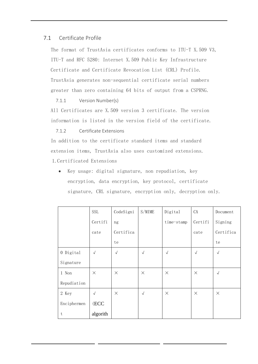# 7.1 Certificate Profile

The format of TrustAsia certificates conforms to ITU-T X.509 V3, ITU-T and RFC 5280: Internet X.509 Public Key Infrastructure Certificate and Certificate Revocation List (CRL) Profile. TrustAsia generates non-sequential certificate serial numbers greater than zero containing 64 bits of output from a CSPRNG.

# 7.1.1 Version Number(s)

All Certificates are X.509 version 3 certificate. The version information is listed in the version field of the certificate.

# 7.1.2 Certificate Extensions

In addition to the certificate standard items and standard extension items, TrustAsia also uses customized extensions. 1.Certificated Extensions

• Key usage: digital signature, non repudiation, key encryption, data encryption, key protocol, certificate signature, CRL signature, encryption only, decryption only.

|             | <b>SSL</b> | CodeSigni  | S/MIME     | Digital    | CA         | Document   |
|-------------|------------|------------|------------|------------|------------|------------|
|             | Certifi    | ng         |            | time-stamp | Certifi    | Signing    |
|             | cate       | Certifica  |            |            | cate       | Certifica  |
|             |            | te         |            |            |            | te         |
| 0 Digital   | $\sqrt{ }$ | $\sqrt{ }$ | $\sqrt{ }$ | $\sqrt{ }$ | $\sqrt{ }$ | $\sqrt{ }$ |
| Signature   |            |            |            |            |            |            |
| 1 Non       | $\times$   | $\times$   | $\times$   | $\times$   | $\times$   | $\sqrt{ }$ |
| Repudiation |            |            |            |            |            |            |
| 2 Key       | $\sqrt{ }$ | $\times$   | $\sqrt{ }$ | $\times$   | $\times$   | $\times$   |
| Enciphermen | (ECC       |            |            |            |            |            |
| t           | algorith   |            |            |            |            |            |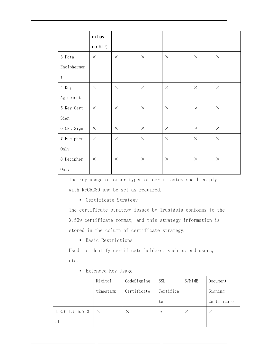|                           | m has    |          |          |          |                      |          |
|---------------------------|----------|----------|----------|----------|----------------------|----------|
|                           | no KU)   |          |          |          |                      |          |
| 3 Data                    | $\times$ | $\times$ | $\times$ | $\times$ | $\times$             | $\times$ |
| Enciphermen               |          |          |          |          |                      |          |
| $\ensuremath{\mathbf{t}}$ |          |          |          |          |                      |          |
| 4 Key                     | $\times$ | $\times$ | $\times$ | $\times$ | $\times$             | $\times$ |
| Agreement                 |          |          |          |          |                      |          |
| 5 Key Cert                | $\times$ | $\times$ | $\times$ | $\times$ | $\sqrt{ }$           | $\times$ |
| Sign                      |          |          |          |          |                      |          |
| 6 CRL Sign                | $\times$ | $\times$ | $\times$ | $\times$ | $\sqrt{\phantom{a}}$ | $\times$ |
| 7 Encipher                | $\times$ | $\times$ | $\times$ | $\times$ | $\times$             | $\times$ |
| 0nly                      |          |          |          |          |                      |          |
| 8 Decipher                | $\times$ | $\times$ | $\times$ | $\times$ | $\times$             | $\times$ |
| 0nly                      |          |          |          |          |                      |          |

The key usage of other types of certificates shall comply with RFC5280 and be set as required.

■ Certificate Strategy

The certificate strategy issued by TrustAsia conforms to the X.509 certificate format, and this strategy information is stored in the column of certificate strategy.

■ Basic Restrictions

Used to identify certificate holders, such as end users, etc.

|                        | Digital   | CodeSigning | <b>SSL</b> | S/MIME   | Document    |
|------------------------|-----------|-------------|------------|----------|-------------|
|                        | timestamp | Certificate | Certifica  |          | Signing     |
|                        |           |             | te         |          | Certificate |
| 1. 3. 6. 1. 5. 5. 7. 3 | $\times$  | $\times$    | √          | $\times$ | $\times$    |
| . 1                    |           |             |            |          |             |

■ Extended Key Usage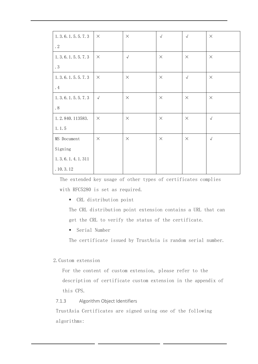| 1. 3. 6. 1. 5. 5. 7. 3   | $\times$   | $\times$   | $\sqrt{ }$ | $\sqrt{ }$ | $\times$   |
|--------------------------|------------|------------|------------|------------|------------|
| $\cdot$ 2                |            |            |            |            |            |
| 1. 3. 6. 1. 5. 5. 7. 3   | $\times$   | $\sqrt{ }$ | $\times$   | $\times$   | $\times$   |
| $\boldsymbol{\cdot}$ $3$ |            |            |            |            |            |
| 1. 3. 6. 1. 5. 5. 7. 3   | $\times$   | $\times$   | $\times$   | $\sqrt{ }$ | $\times$   |
| $\cdot$ 4                |            |            |            |            |            |
| 1. 3. 6. 1. 5. 5. 7. 3   | $\sqrt{ }$ | $\times$   | $\times$   | $\times$   | $\times$   |
| . $8\,$                  |            |            |            |            |            |
| 1.2.840.113583.          | $\times$   | $\times$   | $\times$   | $\times$   | $\sqrt{ }$ |
| 1.1.5                    |            |            |            |            |            |
| MS Document              | $\times$   | $\times$   | $\times$   | $\times$   | $\sqrt{ }$ |
| Signing                  |            |            |            |            |            |
| 1. 3. 6. 1. 4. 1. 311    |            |            |            |            |            |
| .10.3.12                 |            |            |            |            |            |

The extended key usage of other types of certificates complies with RFC5280 is set as required.

▪ CRL distribution point

The CRL distribution point extension contains a URL that can get the CRL to verify the status of the certificate.

■ Serial Number

The certificate issued by TrustAsia is random serial number.

# 2.Custom extension

For the content of custom extension, please refer to the description of certificate custom extension in the appendix of this CPS.

# 7.1.3 Algorithm Object Identifiers

TrustAsia Certificates are signed using one of the following algorithms: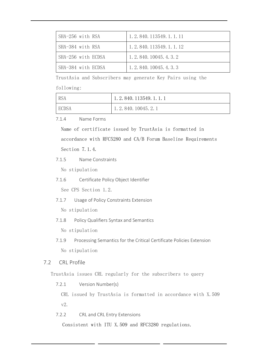| SHA-256 with RSA   | 1, 2, 840, 113549, 1, 1, 11 |
|--------------------|-----------------------------|
| SHA-384 with RSA   | 1, 2, 840, 113549, 1, 1, 12 |
| SHA-256 with ECDSA | 1, 2, 840, 10045, 4, 3, 2   |
| SHA-384 with ECDSA | 1, 2, 840, 10045, 4, 3, 3   |

TrustAsia and Subscribers may generate Key Pairs using the

# following:

| <b>RSA</b>   | 1.2.840.113549.1.1.1 |
|--------------|----------------------|
| <b>ECDSA</b> | 1.2.840.10045.2.1    |

7.1.4 Name Forms

Name of certificate issued by TrustAsia is formatted in accordance with RFC5280 and CA/B Forum Baseline Requirements Section 7.1.4.

7.1.5 Name Constraints

No stipulation

7.1.6 Certificate Policy Object Identifier

See CPS Section 1.2.

7.1.7 Usage of Policy Constraints Extension

No stipulation

7.1.8 Policy Qualifiers Syntax and Semantics

No stipulation

7.1.9 Processing Semantics for the Critical Certificate Policies Extension No stipulation

# 7.2 CRL Profile

TrustAsia issues CRL regularly for the subscribers to query

7.2.1 Version Number(s)

CRL issued by TrustAsia is formatted in accordance with X.509 v2.

7.2.2 CRL and CRL Entry Extensions

Consistent with ITU X.509 and RFC3280 regulations.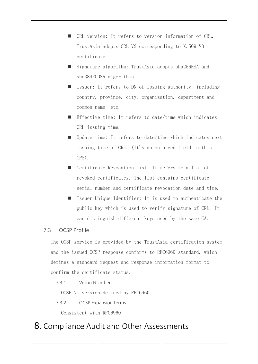- CRL version: It refers to version information of CRL, TrustAsia adopts CRL V2 corresponding to X.509 V3 certificate.
- Signature algorithm: TrustAsia adopts sha256RSA and sha384ECDSA algorithms.
- Issuer: It refers to DN of issuing authority, including country, province, city, organization, department and common name, etc.
- Effective time: It refers to date/time which indicates CRL issuing time.
- Update time: It refers to date/time which indicates next issuing time of CRL. (It's an enforced field in this CPS).
- Certificate Revocation List: It refers to a list of revoked certificates. The list contains certificate serial number and certificate revocation date and time.
- Issuer Unique Identifier: It is used to authenticate the public key which is used to verify signature of CRL. It can distinguish different keys used by the same CA.

# 7.3 OCSP Profile

The OCSP service is provided by the TrustAsia certification system, and the issued OCSP response conforms to RFC6960 standard, which defines a standard request and response information format to confirm the certificate status.

7.3.1 Vision NUmber

OCSP V1 version defined by RFC6960

7.3.2 OCSP Expansion terms

Consistent with RFC6960

# 8. Compliance Audit and Other Assessments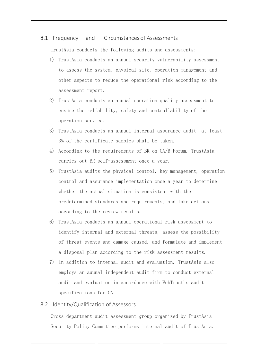# 8.1 Frequency and Circumstances of Assessments

TrustAsia conducts the following audits and assessments:

- 1) TrustAsia conducts an annual security vulnerability assessment to assess the system, physical site, operation management and other aspects to reduce the operational risk according to the assessment report.
- 2) TrustAsia conducts an annual operation quality assessment to ensure the reliability, safety and controllability of the operation service.
- 3) TrustAsia conducts an annual internal assurance audit, at least 3% of the certificate samples shall be taken.
- 4) According to the requirements of BR on CA/B Forum, TrustAsia carries out BR self-assessment once a year.
- 5) TrustAsia audits the physical control, key management, operation control and assurance implementation once a year to determine whether the actual situation is consistent with the predetermined standards and requirements, and take actions according to the review results.
- 6) TrustAsia conducts an annual operational risk assessment to identify internal and external threats, assess the possibility of threat events and damage caused, and formulate and implement a disposal plan according to the risk assessment results.
- 7) In addition to internal audit and evaluation, TrustAsia also employs an auunal independent audit firm to conduct external audit and evaluation in accordance with WebTrust's audit specifications for CA.

# 8.2 Identity/Qualification of Assessors

Cross department audit assessment group organized by TrustAsia Security Policy Committee performs internal audit of TrustAsia.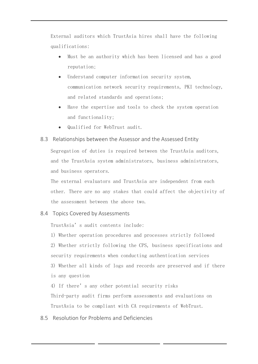External auditors which TrustAsia hires shall have the following qualifications:

- Must be an authority which has been licensed and has a good reputation;
- Understand computer information security system, communication network security requirements, PKI technology, and related standards and operations;
- Have the expertise and tools to check the system operation and functionality;
- Qualified for WebTrust audit.

# 8.3 Relationships between the Assessor and the Assessed Entity

Segregation of duties is required between the TrustAsia auditors, and the TrustAsia system administrators, business administrators, and business operators.

The external evaluators and TrustAsia are independent from each other. There are no any stakes that could affect the objectivity of the assessment between the above two.

# 8.4 Topics Covered by Assessments

TrustAsia's audit contents include:

1) Whether operation procedures and processes strictly followed 2) Whether strictly following the CPS, business specifications and security requirements when conducting authentication services 3) Whether all kinds of logs and records are preserved and if there is any question

4) If there's any other potential security risks

Third-party audit firms perform assessments and evaluations on TrustAsia to be compliant with CA requirements of WebTrust.

8.5 Resolution for Problems and Deficiencies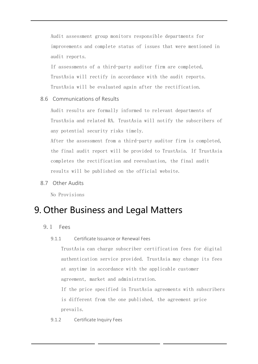Audit assessment group monitors responsible departments for improvements and complete status of issues that were mentioned in audit reports.

If assessments of a third-party auditor firm are completed, TrustAsia will rectify in accordance with the audit reports. TrustAsia will be evaluated again after the rectification.

# 8.6 Communications of Results

Audit results are formally informed to relevant departments of TrustAsia and related RA. TrustAsia will notify the subscribers of any potential security risks timely.

After the assessment from a third-party auditor firm is completed, the final audit report will be provided to TrustAsia. If TrustAsia completes the rectification and reevaluation, the final audit results will be published on the official website.

8.7 Other Audits

No Provisions

# 9. Other Business and Legal Matters

- 9.1 Fees
	- 9.1.1 Certificate Issuance or Renewal Fees

TrustAsia can charge subscriber certification fees for digital authentication service provided. TrustAsia may change its fees at anytime in accordance with the applicable customer agreement, market and administration.

If the price specified in TrustAsia agreements with subscribers is different from the one published, the agreement price prevails.

9.1.2 Certificate Inquiry Fees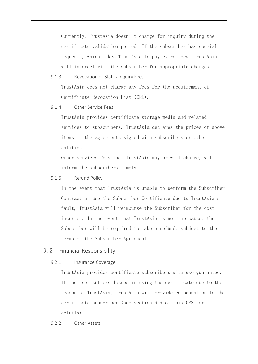Currently, TrustAsia doesn't charge for inquiry during the certificate validation period. If the subscriber has special requests, which makes TrustAsia to pay extra fees, TrustAsia will interact with the subscriber for appropriate charges.

## 9.1.3 Revocation or Status Inquiry Fees

TrustAsia does not charge any fees for the acquirement of Certificate Revocation List (CRL).

9.1.4 Other Service Fees

TrustAsia provides certificate storage media and related services to subscribers. TrustAsia declares the prices of above items in the agreements signed with subscribers or other entities.

Other services fees that TrustAsia may or will charge, will inform the subscribers timely.

## 9.1.5 Refund Policy

In the event that TrustAsia is unable to perform the Subscriber Contract or use the Subscriber Certificate due to TrustAsia's fault, TrustAsia will reimburse the Subscriber for the cost incurred. In the event that TrustAsia is not the cause, the Subscriber will be required to make a refund, subject to the terms of the Subscriber Agreement.

# 9.2 Financial Responsibility

#### 9.2.1 Insurance Coverage

TrustAsia provides certificate subscribers with use guarantee. If the user suffers losses in using the certificate due to the reason of TrustAsia, TrustAsia will provide compensation to the certificate subscriber (see section 9.9 of this CPS for details)

#### 9.2.2 Other Assets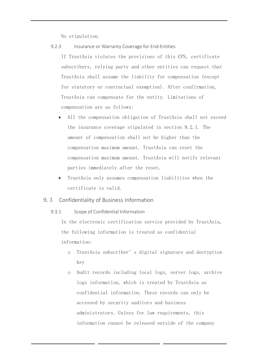No stipulation.

9.2.3 Insurance or Warranty Coverage for End-Entities

If TrustAsia violates the provisions of this CPS, certificate subscribers, relying party and other entities can request that TrustAsia shall assume the liability for compensation (except for statutory or contractual exemption). After confirmation, TrustAsia can compensate for the entity. Limitations of compensation are as follows:

- All the compensation obligation of TrustAsia shall not exceed the insurance coverage stipulated in section 9.2.1. The amount of compensation shall not be higher than the compensation maximum amount. TrustAsia can reset the compensation maximum amount. TrustAsia will notify relevant parties immediately after the reset.
- TrustAsia only assumes compensation liabilities when the certificate is valid.

## 9.3 Confidentiality of Business Information

9.3.1 Scope of Confidential Information

In the electronic certification service provided by TrustAsia, the following information is treated as confidential information:

- o TrustAsia subscriber's digital signature and decryption key
- o Audit records including local logs, server logs, archive logs information, which is treated by TrustAsia as confidential information. These records can only be accessed by security auditors and business administrators. Unless for law requirements, this information cannot be released outside of the company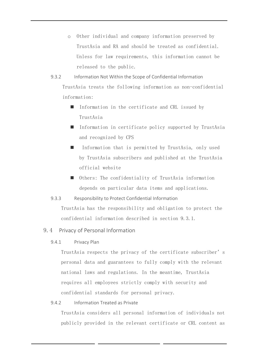- o Other individual and company information preserved by TrustAsia and RA and should be treated as confidential. Unless for law requirements, this information cannot be released to the public.
- 9.3.2 Information Not Within the Scope of Confidential Information TrustAsia treats the following information as non-confidential information:
	- Information in the certificate and CRL issued by TrustAsia
	- Information in certificate policy supported by TrustAsia and recognized by CPS
	- Information that is permitted by TrustAsia, only used by TrustAsia subscribers and published at the TrustAsia official website
	- Others: The confidentiality of TrustAsia information depends on particular data items and applications.

# 9.3.3 Responsibility to Protect Confidential Information

TrustAsia has the responsibility and obligation to protect the confidential information described in section 9.3.1.

# 9.4 Privacy of Personal Information

# 9.4.1 Privacy Plan

TrustAsia respects the privacy of the certificate subscriber's personal data and guarantees to fully comply with the relevant national laws and regulations. In the meantime, TrustAsia requires all employees strictly comply with security and confidential standards for personal privacy.

# 9.4.2 Information Treated as Private

TrustAsia considers all personal information of individuals not publicly provided in the relevant certificate or CRL content as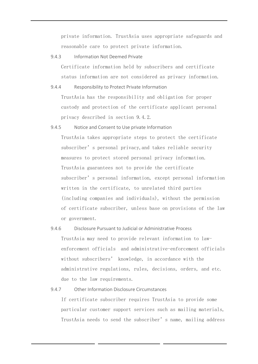private information. TrustAsia uses appropriate safeguards and reasonable care to protect private information.

9.4.3 Information Not Deemed Private

Certificate information held by subscribers and certificate status information are not considered as privacy information.

9.4.4 Responsibility to Protect Private Information

TrustAsia has the responsibility and obligation for proper custody and protection of the certificate applicant personal privacy described in section 9.4.2.

- 9.4.5 Notice and Consent to Use private Information TrustAsia takes appropriate steps to protect the certificate subscriber's personal privacy,and takes reliable security measures to protect stored personal privacy information. TrustAsia guarantees not to provide the certificate subscriber's personal information, except personal information written in the certificate, to unrelated third parties (including companies and individuals), without the permission of certificate subscriber, unless base on provisions of the law or government.
- 9.4.6 Disclosure Pursuant to Judicial or Administrative Process TrustAsia may need to provide relevant information to lawenforcement officials and administrative-enforcement officials without subscribers' knowledge, in accordance with the administrative regulations, rules, decisions, orders, and etc. due to the law requirements.

#### 9.4.7 Other Information Disclosure Circumstances

If certificate subscriber requires TrustAsia to provide some particular customer support services such as mailing materials, TrustAsia needs to send the subscriber's name, mailing address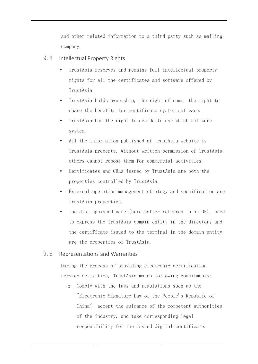and other related information to a third-party such as mailing company.

- 9.5 Intellectual Property Rights
	- TrustAsia reserves and remains full intellectual property rights for all the certificates and software offered by TrustAsia.
	- TrustAsia holds ownership, the right of name, the right to share the benefits for certificate system software.
	- TrustAsia has the right to decide to use which software system.
	- All the information published at TrustAsia website is TrustAsia property. Without written permission of TrustAsia, others cannot repost them for commercial activities.
	- Certificates and CRLs issued by TrustAsia are both the properties controlled by TrustAsia.
	- External operation management strategy and specification are TrustAsia properties.
	- The distinguished name (hereinafter referred to as DN), used to express the TrustAsia domain entity in the directory and the certificate issued to the terminal in the domain entity are the properties of TrustAsia.

# 9.6 Representations and Warranties

During the process of providing electronic certification service activities, TrustAsia makes following commitments:

o Comply with the laws and regulations such as the "Electronic Signature Law of the People's Republic of China", accept the guidance of the competent authorities of the industry, and take corresponding legal responsibility for the issued digital certificate.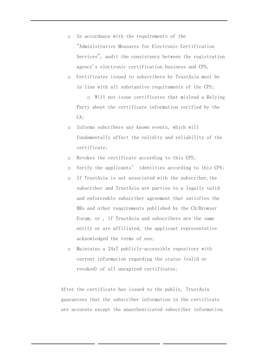- o In accordance with the requirements of the "Administrative Measures for Electronic Certification Services", audit the consistency between the registration agency's electronic certification business and CPS.
- o Certificates issued to subscribers by TrustAsia must be in line with all substantive requirements of the CPS;

o Will not issue certificates that mislead a Relying Party about the certificate information verified by the CA;

- o Informs subcribers any known events, which will fundamentally affect the validity and reliability of the certificate;
- o Revokes the certificate according to this CPS;
- o Verify the applicants' identities according to this CPS;
- o If TrustAsia is not associated with the subscriber,the subscriber and TrustAsia are parties to a legally valid and enforceable subscriber agreement that satisfies the BRs and other requirements published by the CA/Browser Forum, or , if TrustAsia and subscribers are the same entity or are affiliated, the applicant representative acknowledged the terms of use;
- o Maintains a 24x7 publicly-accessible repository with current information regarding the status (valid or revoked) of all unexpired certificates;

After the certificate has issued to the public, TrustAsia guarantees that the subscriber information in the certificate are accurate except the unauthenticated subscriber information.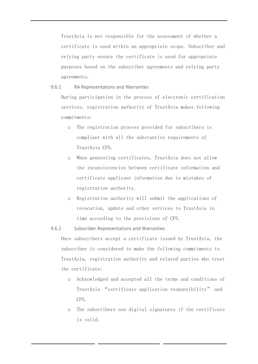TrustAsia is not responsible for the assessment of whether a certificate is used within an appropriate scope. Subscriber and relying party ensure the certificate is used for appropriate purposes based on the subscriber agreements and relying party agreements.

9.6.1 RA Representations and Warranties

During participation in the process of electronic certification services, registration authority of TrustAsia makes following commitments:

- o The registration process provided for subscribers is compliant with all the substantive requirements of TrustAsia CPS.
- o When generating certificates, TrustAsia does not allow the inconsistencies between certificate information and certificate applicant information due to mistakes of registration authority.
- o Registration authority will submit the applications of revocation, update and other services to TrustAsia in time according to the provisions of CPS.

9.6.2 Subscriber Representations and Warranties

Once subscribers accept a certificate issued by TrustAsia, the subscriber is considered to make the following commitments to TrustAsia, registration authority and related parties who trust the certificate:

- o Acknowledged and accepted all the terms and conditions of TrustAsia "certificate application responsibility" and CPS.
- o The subscribers use digital signatures if the certificate is valid.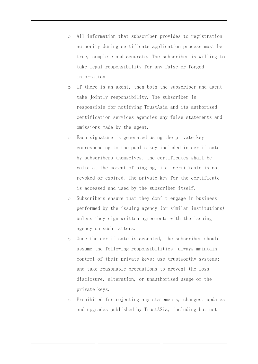- o All information that subscriber provides to registration authority during certificate application process must be true, complete and accurate. The subscriber is willing to take legal responsibility for any false or forged information.
- o If there is an agent, then both the subscriber and agent take jointly responsibility. The subscriber is responsible for notifying TrustAsia and its authorized certification services agencies any false statements and omissions made by the agent.
- o Each signature is generated using the private key corresponding to the public key included in certificate by subscribers themselves. The certificates shall be valid at the moment of singing, i.e. certificate is not revoked or expired. The private key for the certificate is accessed and used by the subscriber itself.
- o Subscribers ensure that they don't engage in business performed by the issuing agency (or similar institutions) unless they sign written agreements with the issuing agency on such matters.
- o Once the certificate is accepted, the subscriber should assume the following responsibilities: always maintain control of their private keys; use trustworthy systems; and take reasonable precautions to prevent the loss, disclosure, alteration, or unauthorized usage of the private keys.
- o Prohibited for rejecting any statements, changes, updates and upgrades published by TrustASia, including but not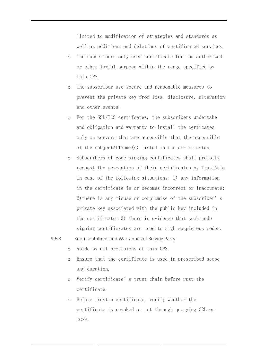limited to modification of strategies and standards as well as additions and deletions of certificated services.

- o The subscribers only uses certificate for the authorized or other lawful purpose within the range specified by this CPS.
- o The subscriber use secure and reasonable measures to prevent the private key from loss, disclosure, alteration and other events.
- o For the SSL/TLS certifcates, the subscribers undertake and obligation and warranty to install the certicates only on servers that are accessible that the accessible at the subjectALTName(s) listed in the certificates.
- o Subscribers of code singing certificates shall promptly request the revocation of their certificates by TrustAsia in case of the following situations: 1) any information in the certificate is or becomes incorrect or inaccurate; 2) there is any misuse or compromise of the subscriber's private key associated with the public key included in the certificate; 3) there is evidence that such code signing certificxates are used to sigh suspicious codes.
- 9.6.3 Representations and Warranties of Relying Party
	- o Abide by all provisions of this CPS.
	- o Ensure that the certificate is used in prescribed scope and duration.
	- o Verify certificate's trust chain before rust the certificate.
	- o Before trust a certificate, verify whether the certificate is revoked or not through querying CRL or OCSP.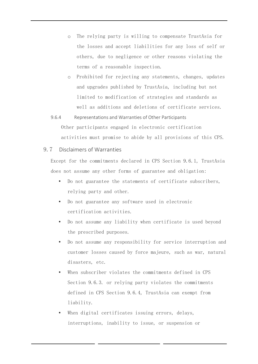- o The relying party is willing to compensate TrustAsia for the losses and accept liabilities for any loss of self or others, due to negligence or other reasons violating the terms of a reasonable inspection.
- o Prohibited for rejecting any statements, changes, updates and upgrades published by TrustAsia, including but not limited to modification of strategies and standards as well as additions and deletions of certificate services.
- 9.6.4 Representations and Warranties of Other Participants Other participants engaged in electronic certification activities must promise to abide by all provisions of this CPS.

# 9.7 Disclaimers of Warranties

Except for the commitments declared in CPS Section 9.6.1, TrustAsia does not assume any other forms of guarantee and obligation:

- Do not guarantee the statements of certificate subscribers, relying party and other.
- Do not guarantee any software used in electronic certification activities.
- Do not assume any liability when certificate is used beyond the prescribed purposes.
- Do not assume any responsibility for service interruption and customer losses caused by force majeure, such as war, natural disasters, etc.
- When subscriber violates the commitments defined in CPS Section 9.6.3. or relying party violates the commitments defined in CPS Section 9.6.4, TrustAsia can exempt from liability.
- When digital certificates issuing errors, delays, interruptions, inability to issue, or suspension or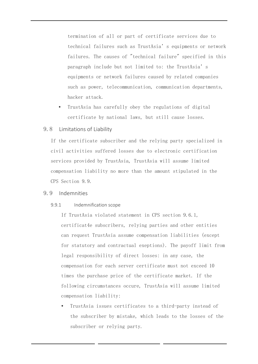termination of all or part of certificate services due to technical failures such as TrustAsia's equipments or network failures. The causes of "technical failure" specified in this paragraph include but not limited to: the TrustAsia's equipments or network failures caused by related companies such as power, telecommunication, communication departments, hacker attack.

- TrustAsia has carefully obey the regulations of digital certificate by national laws, but still cause losses.
- 9.8 Limitations of Liability

If the certificate subscriber and the relying party specialized in civil activities suffered losses due to electronic certification services provided by TrustAsia, TrustAsia will assume limited compensation liability no more than the amount stipulated in the CPS Section 9.9.

#### 9.9 Indemnities

#### 9.9.1 Indemnification scope

If TrustAsia violated statement in CPS section 9.6.1, certificat4e subscribers, relying parties and other entities can request TrustAsia assume compensation liabilities (except for statutory and contractual exeptions). The payoff limit from legal responsibility of direct losses: in any case, the compensation for each server certificate must not exceed 10 times the purchase price of the certificate market. If the following circumstances occure, TrustAsia will assume limited compensation liability:

 TrustAsia issues certificates to a third-party instead of the subscriber by mistake, which leads to the losses of the subscriber or relying party.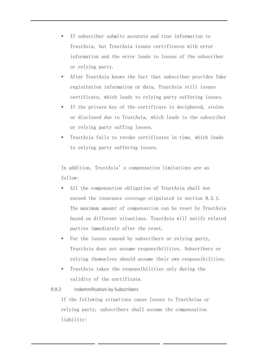- If subscriber submits accurate and true information to TrustAsia, but TrustAsia issues certificates with error information and the error leads to losses of the subscriber or relying party.
- After TrustAsia knows the fact that subscriber provides fake registration information or data, TrustAsia still issues certificate, which leads to relying party suffering losses.
- If the private key of the certificate is deciphered, stolen or disclosed due to TrustAsia, which leads to the subscriber or relying party suffing losses.
- TrustAsia fails to revoke certificates in time, which leads to relying party suffering losses.

In addition, TrustAsia's compensation limitations are as follow:

- All the compensation obligation of TrustAsia shall not exceed the insurance coverage stipulated in section 9.2.1. The maximum amount of compensation can be reset by TrustAsia based on different situations. TrustAsia will notify related parties immediately after the reset.
- For the losses caused by subscribers or relying party, TrustAsia does not assume responsibilities. Subscribers or relying themselves should assume their own responsibilities.
- TrustAsia takes the responsibilities only during the validity of the certificate.
- 9.9.2 Indemnification by Subscribers

If the following situations cause losses to TrustAsiua or relying party, subscribers shall assume the compensation liability: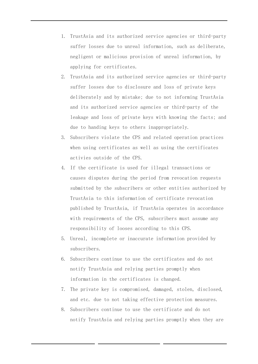- 1. TrustAsia and its authorized service agencies or third-party suffer losses due to unreal information, such as deliberate, negligent or malicious provision of unreal information, by applying for certificates.
- 2. TrustAsia and its authorized service agencies or third-party suffer losses due to disclosure and loss of private keys deliberately and by mistake; due to not informing TrustAsia and its authorized service agencies or third-party of the leakage and loss of private keys with knowing the facts; and due to handing keys to others inappropriately.
- 3. Subscribers violate the CPS and related operation practices when using certificates as well as using the certificates activies outside of the CPS.
- 4. If the certificate is used for illegal transactions or causes disputes during the period from revocation requests submitted by the subscribers or other entities authorized by TrustAsia to this information of certificate revocation published by TrustAsia, if TrustAsia operates in accordance with requirements of the CPS, subscribers must assume any responsibility of looses according to this CPS.
- 5. Unreal, incomplete or inaccurate information provided by subscribers.
- 6. Subscribers continue to use the certificates and do not notify TrustAsia and relying parties promptly when information in the certificates is changed.
- 7. The private key is compromised, damaged, stolen, disclosed, and etc. due to not taking effective protection measures.
- 8. Subscribers continue to use the certificate and do not notify TrustAsia and relying parties promptly when they are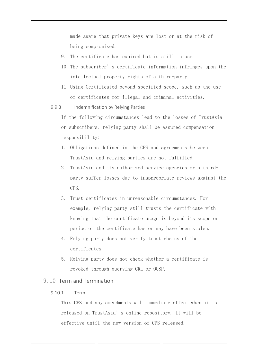made aware that private keys are lost or at the risk of being compromised.

- 9. The certificate has expired but is still in use.
- 10. The subscriber's certificate information infringes upon the intellectual property rights of a third-party.
- 11. Using Certificated beyond specified scope, such as the use of certificates for illegal and criminal activities.
- 9.9.3 Indemnification by Relying Parties

If the following circumstances lead to the losses of TrustAsia or subscribers, relying party shall be assumed compensation responsibility:

- 1. Obligations defined in the CPS and agreements between TrustAsia and relying parties are not fulfilled.
- 2. TrustAsia and its authorized service agencies or a thirdparty suffer losses due to inappropriate reviews against the CPS.
- 3. Trust certificates in unreasonable circumstances. For example, relying party still trusts the certificate with knowing that the certificate usage is beyond its scope or period or the certificate has or may have been stolen.
- 4. Relying party does not verify trust chains of the certificates.
- 5. Relying party does not check whether a certificate is revoked through querying CRL or OCSP.

## 9.10 Term and Termination

## 9.10.1 Term

This CPS and any amendments will immediate effect when it is released on TrustAsia's online repository. It will be effective until the new version of CPS released.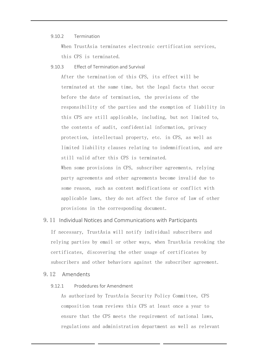#### 9.10.2 Termination

When TrustAsia terminates electronic certification services, this CPS is terminated.

9.10.3 Effect of Termination and Survival

After the termination of this CPS, its effect will be terminated at the same time, but the legal facts that occur before the date of termination, the provisions of the responsibility of the parties and the exemption of liability in this CPS are still applicable, including, but not limited to, the contents of audit, confidential information, privacy protection, intellectual property, etc. in CPS, as well as limited liability clauses relating to indemnification, and are still valid after this CPS is terminated.

When some provisions in CPS, subscriber agreements, relying party agreements and other agreements become invalid due to some reason, such as content modifications or conflict with applicable laws, they do not affect the force of law of other provisions in the corresponding document.

## 9.11 Individual Notices and Communications with Participants

If necessary, TrustAsia will notify individual subscribers and relying parties by email or other ways, when TrustAsia revoking the certificates, discovering the other usage of certificates by subscribers and other behaviors against the subscriber agreement.

## 9.12 Amendents

## 9.12.1 Prodedures for Amendment

As authorized by TrustAsia Security Policy Committee, CPS composition team reviews this CPS at least once a year to ensure that the CPS meets the requirement of national laws, regulations and administration department as well as relevant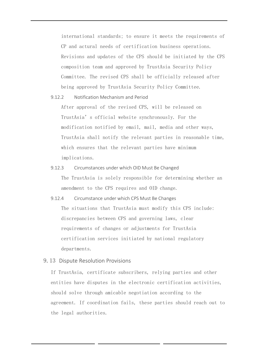international standards; to ensure it meets the requirements of CP and actural needs of certification business operations. Revisions and updates of the CPS should be initiated by the CPS composition team and approved by TrustAsia Security Policy Committee. The revised CPS shall be officially released after being approved by TrustAsia Security Policy Committee.

9.12.2 Notification Mechanism and Period

After approval of the revised CPS, will be released on TrustAsia's official website synchronously. For the modification notified by email, mail, media and other ways, TrustAsia shall notify the relevant parties in reasonable time, which ensures that the relevant parties have minimum implications.

- 9.12.3 Circumstances under which OID Must Be Changed The TrustAsia is solely responsible for determining whether an amendment to the CPS requires and OID change.
- 9.12.4 Circumstance under which CPS Must Be Changes The situations that TrustAsia must modify this CPS include: discrepancies between CPS and governing laws, clear requirements of changes or adjustments for TrustAsia certification services initiated by national regulatory departments.
- 9.13 Dispute Resolution Provisions

If TrustAsia, certificate subscribers, relying parties and other entities have disputes in the electronic certification activities, should solve through amicable negotiation according to the agreement. If coordination fails, these parties should reach out to the legal authorities.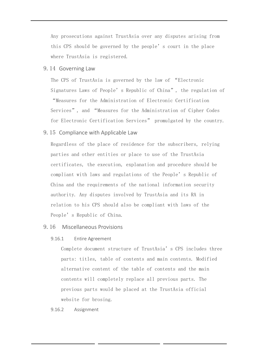Any prosecutions against TrustAsia over any disputes arising from this CPS should be governed by the people's court in the place where TrustAsia is registered.

9.14 Governing Law

The CPS of TrustAsia is governed by the law of "Electronic Signatures Laws of People's Republic of China", the regulation of "Measures for the Administration of Electronic Certification Services", and "Measures for the Administration of Cipher Codes for Electronic Certification Services" promulgated by the country.

#### 9.15 Compliance with Applicable Law

Regardless of the place of residence for the subscribers, relying parties and other entities or place to use of the TrustAsia certificates, the execution, explanation and procedure should be compliant with laws and regulations of the People's Republic of China and the requirements of the national information security authority. Any disputes involved by TrustAsia and its RA in relation to his CPS should also be compliant with laws of the People's Republic of China.

## 9.16 Miscellaneous Provisions

#### 9.16.1 Entire Agreement

Complete document structure of TrustAsia's CPS includes three parts: titles, table of contents and main contents. Modified alternative content of the table of contents and the main contents will completely replace all previous parts. The previous parts would be placed at the TrustAsia official website for brosing.

#### 9.16.2 Assignment